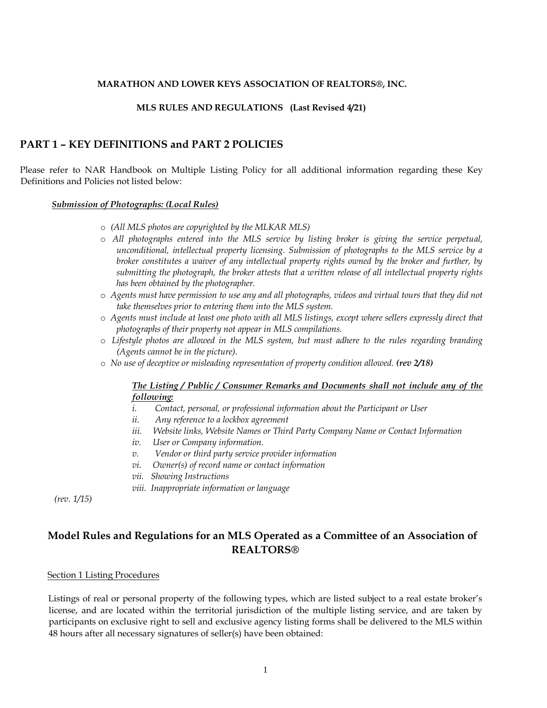## **MARATHON AND LOWER KEYS ASSOCIATION OF REALTORS®, INC.**

## **MLS RULES AND REGULATIONS (Last Revised 4/21)**

## **PART 1 – KEY DEFINITIONS and PART 2 POLICIES**

Please refer to NAR Handbook on Multiple Listing Policy for all additional information regarding these Key Definitions and Policies not listed below:

#### *Submission of Photographs: (Local Rules)*

- o *(All MLS photos are copyrighted by the MLKAR MLS)*
- o *All photographs entered into the MLS service by listing broker is giving the service perpetual, unconditional, intellectual property licensing. Submission of photographs to the MLS service by a broker constitutes a waiver of any intellectual property rights owned by the broker and further, by submitting the photograph, the broker attests that a written release of all intellectual property rights has been obtained by the photographer.*
- o *Agents must have permission to use any and all photographs, videos and virtual tours that they did not take themselves prior to entering them into the MLS system.*
- o *Agents must include at least one photo with all MLS listings, except where sellers expressly direct that photographs of their property not appear in MLS compilations.*
- o *Lifestyle photos are allowed in the MLS system, but must adhere to the rules regarding branding (Agents cannot be in the picture).*
- o *No use of deceptive or misleading representation of property condition allowed. (rev 2/18)*

## *The Listing / Public / Consumer Remarks and Documents shall not include any of the following:*

- *i. Contact, personal, or professional information about the Participant or User*
- *ii. Any reference to a lockbox agreement*
- *iii. Website links, Website Names or Third Party Company Name or Contact Information*
- *iv. User or Company information.*
- *v. Vendor or third party service provider information*
- *vi. Owner(s) of record name or contact information*
- *vii. Showing Instructions*
- *viii. Inappropriate information or language*

*(rev. 1/15)*

# **Model Rules and Regulations for an MLS Operated as a Committee of an Association of REALTORS®**

#### Section 1 Listing Procedures

Listings of real or personal property of the following types, which are listed subject to a real estate broker's license, and are located within the territorial jurisdiction of the multiple listing service, and are taken by participants on exclusive right to sell and exclusive agency listing forms shall be delivered to the MLS within 48 hours after all necessary signatures of seller(s) have been obtained: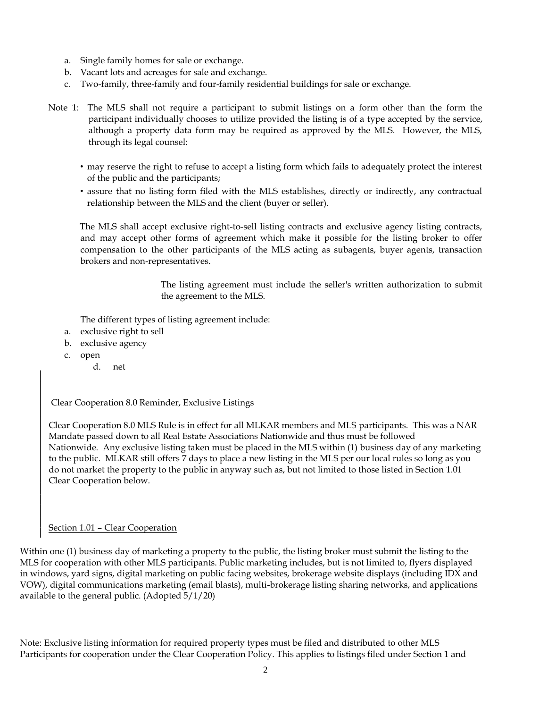- a. Single family homes for sale or exchange.
- b. Vacant lots and acreages for sale and exchange.
- c. Two-family, three-family and four-family residential buildings for sale or exchange.
- Note 1: The MLS shall not require a participant to submit listings on a form other than the form the participant individually chooses to utilize provided the listing is of a type accepted by the service, although a property data form may be required as approved by the MLS. However, the MLS, through its legal counsel:
	- may reserve the right to refuse to accept a listing form which fails to adequately protect the interest of the public and the participants;
	- assure that no listing form filed with the MLS establishes, directly or indirectly, any contractual relationship between the MLS and the client (buyer or seller).

The MLS shall accept exclusive right-to-sell listing contracts and exclusive agency listing contracts, and may accept other forms of agreement which make it possible for the listing broker to offer compensation to the other participants of the MLS acting as subagents, buyer agents, transaction brokers and non-representatives.

> The listing agreement must include the seller's written authorization to submit the agreement to the MLS.

The different types of listing agreement include:

- a. exclusive right to sell
- b. exclusive agency
- c. open
	- d. net

Clear Cooperation 8.0 Reminder, Exclusive Listings

Clear Cooperation 8.0 MLS Rule is in effect for all MLKAR members and MLS participants. This was a NAR Mandate passed down to all Real Estate Associations Nationwide and thus must be followed Nationwide. Any exclusive listing taken must be placed in the MLS within (1) business day of any marketing to the public. MLKAR still offers 7 days to place a new listing in the MLS per our local rules so long as you do not market the property to the public in anyway such as, but not limited to those listed in Section 1.01 Clear Cooperation below.

#### Section 1.01 – Clear Cooperation

Within one (1) business day of marketing a property to the public, the listing broker must submit the listing to the MLS for cooperation with other MLS participants. Public marketing includes, but is not limited to, flyers displayed in windows, yard signs, digital marketing on public facing websites, brokerage website displays (including IDX and VOW), digital communications marketing (email blasts), multi-brokerage listing sharing networks, and applications available to the general public. (Adopted 5/1/20)

Note: Exclusive listing information for required property types must be filed and distributed to other MLS Participants for cooperation under the Clear Cooperation Policy. This applies to listings filed under Section 1 and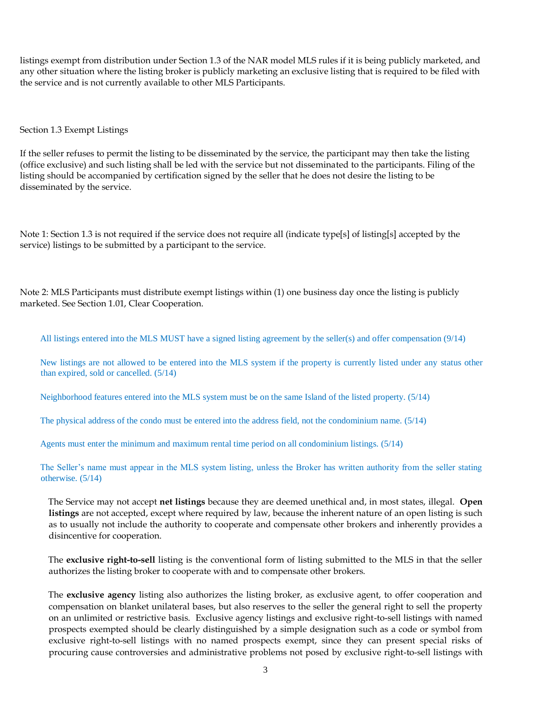listings exempt from distribution under Section 1.3 of the NAR model MLS rules if it is being publicly marketed, and any other situation where the listing broker is publicly marketing an exclusive listing that is required to be filed with the service and is not currently available to other MLS Participants.

## Section 1.3 Exempt Listings

If the seller refuses to permit the listing to be disseminated by the service, the participant may then take the listing (office exclusive) and such listing shall be led with the service but not disseminated to the participants. Filing of the listing should be accompanied by certification signed by the seller that he does not desire the listing to be disseminated by the service.

Note 1: Section 1.3 is not required if the service does not require all (indicate type[s] of listing[s] accepted by the service) listings to be submitted by a participant to the service.

Note 2: MLS Participants must distribute exempt listings within (1) one business day once the listing is publicly marketed. See Section 1.01, Clear Cooperation.

All listings entered into the MLS MUST have a signed listing agreement by the seller(s) and offer compensation (9/14)

New listings are not allowed to be entered into the MLS system if the property is currently listed under any status other than expired, sold or cancelled. (5/14)

Neighborhood features entered into the MLS system must be on the same Island of the listed property. (5/14)

The physical address of the condo must be entered into the address field, not the condominium name. (5/14)

Agents must enter the minimum and maximum rental time period on all condominium listings. (5/14)

The Seller's name must appear in the MLS system listing, unless the Broker has written authority from the seller stating otherwise. (5/14)

The Service may not accept **net listings** because they are deemed unethical and, in most states, illegal. **Open listings** are not accepted, except where required by law, because the inherent nature of an open listing is such as to usually not include the authority to cooperate and compensate other brokers and inherently provides a disincentive for cooperation.

The **exclusive right-to-sell** listing is the conventional form of listing submitted to the MLS in that the seller authorizes the listing broker to cooperate with and to compensate other brokers.

The **exclusive agency** listing also authorizes the listing broker, as exclusive agent, to offer cooperation and compensation on blanket unilateral bases, but also reserves to the seller the general right to sell the property on an unlimited or restrictive basis. Exclusive agency listings and exclusive right-to-sell listings with named prospects exempted should be clearly distinguished by a simple designation such as a code or symbol from exclusive right-to-sell listings with no named prospects exempt, since they can present special risks of procuring cause controversies and administrative problems not posed by exclusive right-to-sell listings with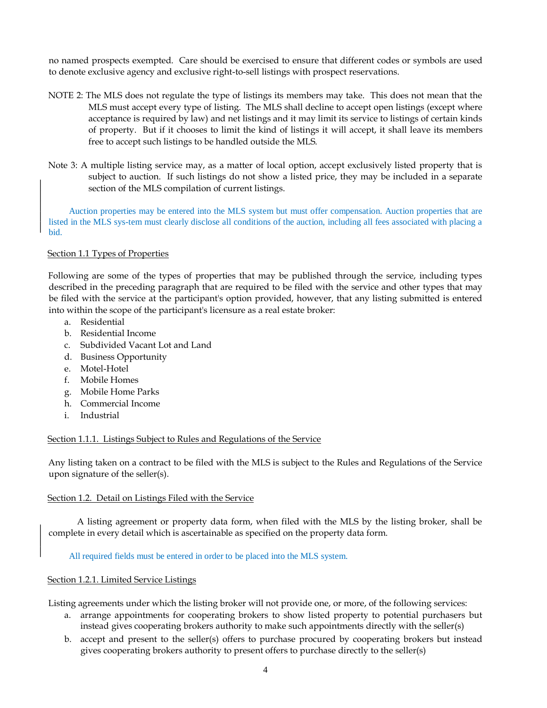no named prospects exempted. Care should be exercised to ensure that different codes or symbols are used to denote exclusive agency and exclusive right-to-sell listings with prospect reservations.

- NOTE 2: The MLS does not regulate the type of listings its members may take. This does not mean that the MLS must accept every type of listing. The MLS shall decline to accept open listings (except where acceptance is required by law) and net listings and it may limit its service to listings of certain kinds of property. But if it chooses to limit the kind of listings it will accept, it shall leave its members free to accept such listings to be handled outside the MLS.
- Note 3: A multiple listing service may, as a matter of local option, accept exclusively listed property that is subject to auction. If such listings do not show a listed price, they may be included in a separate section of the MLS compilation of current listings.

Auction properties may be entered into the MLS system but must offer compensation. Auction properties that are listed in the MLS sys-tem must clearly disclose all conditions of the auction, including all fees associated with placing a bid.

## Section 1.1 Types of Properties

Following are some of the types of properties that may be published through the service, including types described in the preceding paragraph that are required to be filed with the service and other types that may be filed with the service at the participant's option provided, however, that any listing submitted is entered into within the scope of the participant's licensure as a real estate broker:

- a. Residential
- b. Residential Income
- c. Subdivided Vacant Lot and Land
- d. Business Opportunity
- e. Motel-Hotel
- f. Mobile Homes
- g. Mobile Home Parks
- h. Commercial Income
- i. Industrial

## Section 1.1.1. Listings Subject to Rules and Regulations of the Service

Any listing taken on a contract to be filed with the MLS is subject to the Rules and Regulations of the Service upon signature of the seller(s).

## Section 1.2. Detail on Listings Filed with the Service

A listing agreement or property data form, when filed with the MLS by the listing broker, shall be complete in every detail which is ascertainable as specified on the property data form.

All required fields must be entered in order to be placed into the MLS system.

## Section 1.2.1. Limited Service Listings

Listing agreements under which the listing broker will not provide one, or more, of the following services:

- a. arrange appointments for cooperating brokers to show listed property to potential purchasers but instead gives cooperating brokers authority to make such appointments directly with the seller(s)
- b. accept and present to the seller(s) offers to purchase procured by cooperating brokers but instead gives cooperating brokers authority to present offers to purchase directly to the seller(s)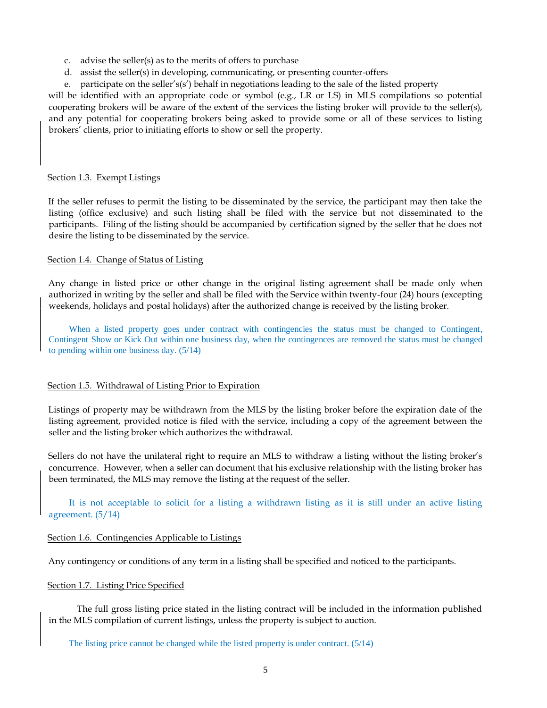- c. advise the seller(s) as to the merits of offers to purchase
- d. assist the seller(s) in developing, communicating, or presenting counter-offers
- e. participate on the seller's(s') behalf in negotiations leading to the sale of the listed property

will be identified with an appropriate code or symbol (e.g., LR or LS) in MLS compilations so potential cooperating brokers will be aware of the extent of the services the listing broker will provide to the seller(s), and any potential for cooperating brokers being asked to provide some or all of these services to listing brokers' clients, prior to initiating efforts to show or sell the property.

## Section 1.3. Exempt Listings

If the seller refuses to permit the listing to be disseminated by the service, the participant may then take the listing (office exclusive) and such listing shall be filed with the service but not disseminated to the participants. Filing of the listing should be accompanied by certification signed by the seller that he does not desire the listing to be disseminated by the service.

## Section 1.4. Change of Status of Listing

Any change in listed price or other change in the original listing agreement shall be made only when authorized in writing by the seller and shall be filed with the Service within twenty-four (24) hours (excepting weekends, holidays and postal holidays) after the authorized change is received by the listing broker.

When a listed property goes under contract with contingencies the status must be changed to Contingent, Contingent Show or Kick Out within one business day, when the contingences are removed the status must be changed to pending within one business day. (5/14)

## Section 1.5. Withdrawal of Listing Prior to Expiration

Listings of property may be withdrawn from the MLS by the listing broker before the expiration date of the listing agreement, provided notice is filed with the service, including a copy of the agreement between the seller and the listing broker which authorizes the withdrawal.

Sellers do not have the unilateral right to require an MLS to withdraw a listing without the listing broker's concurrence. However, when a seller can document that his exclusive relationship with the listing broker has been terminated, the MLS may remove the listing at the request of the seller.

It is not acceptable to solicit for a listing a withdrawn listing as it is still under an active listing agreement. (5/14)

## Section 1.6. Contingencies Applicable to Listings

Any contingency or conditions of any term in a listing shall be specified and noticed to the participants.

## Section 1.7. Listing Price Specified

The full gross listing price stated in the listing contract will be included in the information published in the MLS compilation of current listings, unless the property is subject to auction.

## The listing price cannot be changed while the listed property is under contract. (5/14)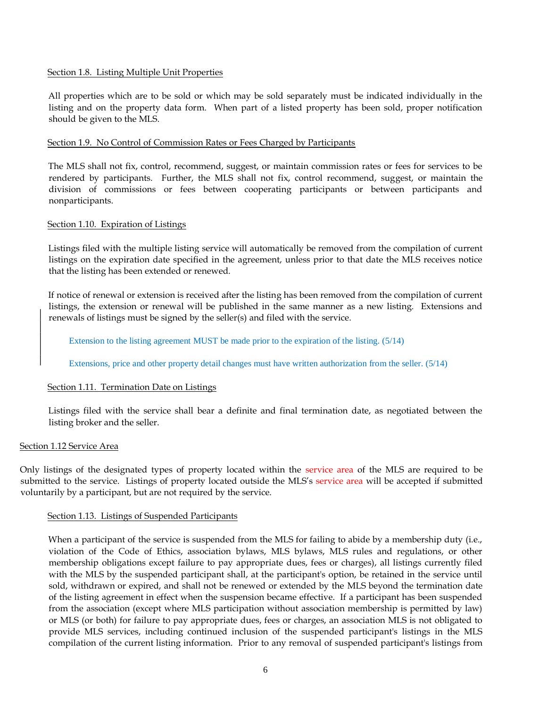## Section 1.8. Listing Multiple Unit Properties

All properties which are to be sold or which may be sold separately must be indicated individually in the listing and on the property data form. When part of a listed property has been sold, proper notification should be given to the MLS.

## Section 1.9. No Control of Commission Rates or Fees Charged by Participants

The MLS shall not fix, control, recommend, suggest, or maintain commission rates or fees for services to be rendered by participants. Further, the MLS shall not fix, control recommend, suggest, or maintain the division of commissions or fees between cooperating participants or between participants and nonparticipants.

## Section 1.10. Expiration of Listings

Listings filed with the multiple listing service will automatically be removed from the compilation of current listings on the expiration date specified in the agreement, unless prior to that date the MLS receives notice that the listing has been extended or renewed.

If notice of renewal or extension is received after the listing has been removed from the compilation of current listings, the extension or renewal will be published in the same manner as a new listing. Extensions and renewals of listings must be signed by the seller(s) and filed with the service.

Extension to the listing agreement MUST be made prior to the expiration of the listing. (5/14)

Extensions, price and other property detail changes must have written authorization from the seller. (5/14)

## Section 1.11. Termination Date on Listings

Listings filed with the service shall bear a definite and final termination date, as negotiated between the listing broker and the seller.

## Section 1.12 Service Area

Only listings of the designated types of property located within the service area of the MLS are required to be submitted to the service. Listings of property located outside the MLS's service area will be accepted if submitted voluntarily by a participant, but are not required by the service.

## Section 1.13. Listings of Suspended Participants

When a participant of the service is suspended from the MLS for failing to abide by a membership duty (i.e., violation of the Code of Ethics, association bylaws, MLS bylaws, MLS rules and regulations, or other membership obligations except failure to pay appropriate dues, fees or charges), all listings currently filed with the MLS by the suspended participant shall, at the participant's option, be retained in the service until sold, withdrawn or expired, and shall not be renewed or extended by the MLS beyond the termination date of the listing agreement in effect when the suspension became effective. If a participant has been suspended from the association (except where MLS participation without association membership is permitted by law) or MLS (or both) for failure to pay appropriate dues, fees or charges, an association MLS is not obligated to provide MLS services, including continued inclusion of the suspended participant's listings in the MLS compilation of the current listing information. Prior to any removal of suspended participant's listings from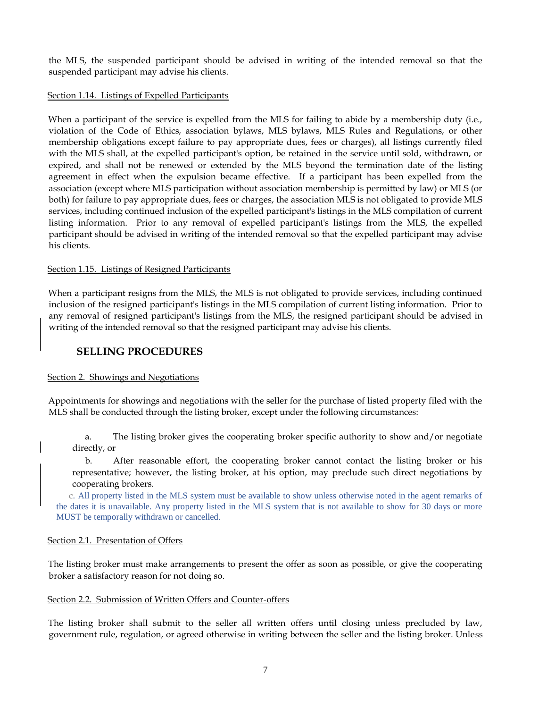the MLS, the suspended participant should be advised in writing of the intended removal so that the suspended participant may advise his clients.

## Section 1.14. Listings of Expelled Participants

When a participant of the service is expelled from the MLS for failing to abide by a membership duty (i.e., violation of the Code of Ethics, association bylaws, MLS bylaws, MLS Rules and Regulations, or other membership obligations except failure to pay appropriate dues, fees or charges), all listings currently filed with the MLS shall, at the expelled participant's option, be retained in the service until sold, withdrawn, or expired, and shall not be renewed or extended by the MLS beyond the termination date of the listing agreement in effect when the expulsion became effective. If a participant has been expelled from the association (except where MLS participation without association membership is permitted by law) or MLS (or both) for failure to pay appropriate dues, fees or charges, the association MLS is not obligated to provide MLS services, including continued inclusion of the expelled participant's listings in the MLS compilation of current listing information. Prior to any removal of expelled participant's listings from the MLS, the expelled participant should be advised in writing of the intended removal so that the expelled participant may advise his clients.

## Section 1.15. Listings of Resigned Participants

When a participant resigns from the MLS, the MLS is not obligated to provide services, including continued inclusion of the resigned participant's listings in the MLS compilation of current listing information. Prior to any removal of resigned participant's listings from the MLS, the resigned participant should be advised in writing of the intended removal so that the resigned participant may advise his clients.

## **SELLING PROCEDURES**

## Section 2. Showings and Negotiations

Appointments for showings and negotiations with the seller for the purchase of listed property filed with the MLS shall be conducted through the listing broker, except under the following circumstances:

a. The listing broker gives the cooperating broker specific authority to show and/or negotiate directly, or

b. After reasonable effort, the cooperating broker cannot contact the listing broker or his representative; however, the listing broker, at his option, may preclude such direct negotiations by cooperating brokers.

c. All property listed in the MLS system must be available to show unless otherwise noted in the agent remarks of the dates it is unavailable. Any property listed in the MLS system that is not available to show for 30 days or more MUST be temporally withdrawn or cancelled.

## Section 2.1. Presentation of Offers

The listing broker must make arrangements to present the offer as soon as possible, or give the cooperating broker a satisfactory reason for not doing so.

## Section 2.2. Submission of Written Offers and Counter-offers

The listing broker shall submit to the seller all written offers until closing unless precluded by law, government rule, regulation, or agreed otherwise in writing between the seller and the listing broker. Unless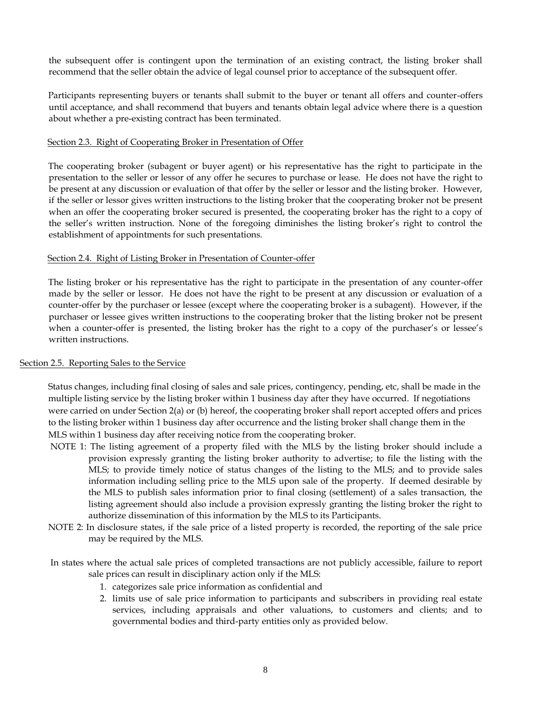the subsequent offer is contingent upon the termination of an existing contract, the listing broker shall recommend that the seller obtain the advice of legal counsel prior to acceptance of the subsequent offer.

Participants representing buyers or tenants shall submit to the buyer or tenant all offers and counter-offers until acceptance, and shall recommend that buyers and tenants obtain legal advice where there is a question about whether a pre-existing contract has been terminated.

## Section 2.3. Right of Cooperating Broker in Presentation of Offer

The cooperating broker (subagent or buyer agent) or his representative has the right to participate in the presentation to the seller or lessor of any offer he secures to purchase or lease. He does not have the right to be present at any discussion or evaluation of that offer by the seller or lessor and the listing broker. However, if the seller or lessor gives written instructions to the listing broker that the cooperating broker not be present when an offer the cooperating broker secured is presented, the cooperating broker has the right to a copy of the seller's written instruction. None of the foregoing diminishes the listing broker's right to control the establishment of appointments for such presentations.

## Section 2.4. Right of Listing Broker in Presentation of Counter-offer

The listing broker or his representative has the right to participate in the presentation of any counter-offer made by the seller or lessor. He does not have the right to be present at any discussion or evaluation of a counter-offer by the purchaser or lessee (except where the cooperating broker is a subagent). However, if the purchaser or lessee gives written instructions to the cooperating broker that the listing broker not be present when a counter-offer is presented, the listing broker has the right to a copy of the purchaser's or lessee's written instructions.

## Section 2.5. Reporting Sales to the Service

Status changes, including final closing of sales and sale prices, contingency, pending, etc, shall be made in the multiple listing service by the listing broker within 1 business day after they have occurred. If negotiations were carried on under Section 2(a) or (b) hereof, the cooperating broker shall report accepted offers and prices to the listing broker within 1 business day after occurrence and the listing broker shall change them in the MLS within 1 business day after receiving notice from the cooperating broker.

- NOTE 1: The listing agreement of a property filed with the MLS by the listing broker should include a provision expressly granting the listing broker authority to advertise; to file the listing with the MLS; to provide timely notice of status changes of the listing to the MLS; and to provide sales information including selling price to the MLS upon sale of the property. If deemed desirable by the MLS to publish sales information prior to final closing (settlement) of a sales transaction, the listing agreement should also include a provision expressly granting the listing broker the right to authorize dissemination of this information by the MLS to its Participants.
- NOTE 2: In disclosure states, if the sale price of a listed property is recorded, the reporting of the sale price may be required by the MLS.
- In states where the actual sale prices of completed transactions are not publicly accessible, failure to report sale prices can result in disciplinary action only if the MLS:
	- 1. categorizes sale price information as confidential and
	- 2. limits use of sale price information to participants and subscribers in providing real estate services, including appraisals and other valuations, to customers and clients; and to governmental bodies and third-party entities only as provided below.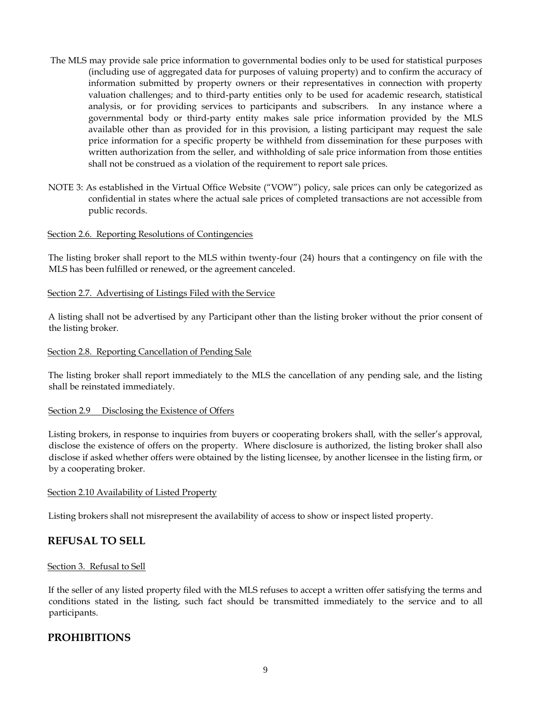- The MLS may provide sale price information to governmental bodies only to be used for statistical purposes (including use of aggregated data for purposes of valuing property) and to confirm the accuracy of information submitted by property owners or their representatives in connection with property valuation challenges; and to third-party entities only to be used for academic research, statistical analysis, or for providing services to participants and subscribers. In any instance where a governmental body or third-party entity makes sale price information provided by the MLS available other than as provided for in this provision, a listing participant may request the sale price information for a specific property be withheld from dissemination for these purposes with written authorization from the seller, and withholding of sale price information from those entities shall not be construed as a violation of the requirement to report sale prices.
- NOTE 3: As established in the Virtual Office Website ("VOW") policy, sale prices can only be categorized as confidential in states where the actual sale prices of completed transactions are not accessible from public records.

## Section 2.6. Reporting Resolutions of Contingencies

The listing broker shall report to the MLS within twenty-four (24) hours that a contingency on file with the MLS has been fulfilled or renewed, or the agreement canceled.

## Section 2.7. Advertising of Listings Filed with the Service

A listing shall not be advertised by any Participant other than the listing broker without the prior consent of the listing broker.

## Section 2.8. Reporting Cancellation of Pending Sale

The listing broker shall report immediately to the MLS the cancellation of any pending sale, and the listing shall be reinstated immediately.

## Section 2.9 Disclosing the Existence of Offers

Listing brokers, in response to inquiries from buyers or cooperating brokers shall, with the seller's approval, disclose the existence of offers on the property. Where disclosure is authorized, the listing broker shall also disclose if asked whether offers were obtained by the listing licensee, by another licensee in the listing firm, or by a cooperating broker.

## Section 2.10 Availability of Listed Property

Listing brokers shall not misrepresent the availability of access to show or inspect listed property.

## **REFUSAL TO SELL**

## Section 3. Refusal to Sell

If the seller of any listed property filed with the MLS refuses to accept a written offer satisfying the terms and conditions stated in the listing, such fact should be transmitted immediately to the service and to all participants.

## **PROHIBITIONS**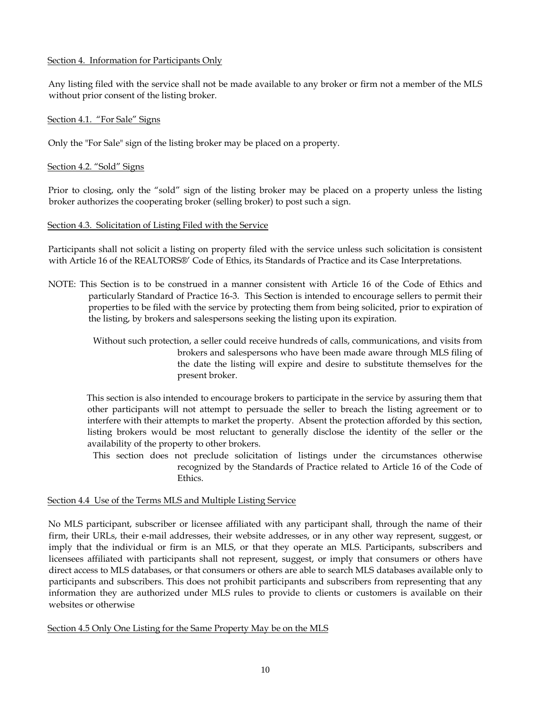## Section 4. Information for Participants Only

Any listing filed with the service shall not be made available to any broker or firm not a member of the MLS without prior consent of the listing broker.

## Section 4.1. "For Sale" Signs

Only the "For Sale" sign of the listing broker may be placed on a property.

## Section 4.2. "Sold" Signs

Prior to closing, only the "sold" sign of the listing broker may be placed on a property unless the listing broker authorizes the cooperating broker (selling broker) to post such a sign.

## Section 4.3. Solicitation of Listing Filed with the Service

Participants shall not solicit a listing on property filed with the service unless such solicitation is consistent with Article 16 of the REALTORS®' Code of Ethics, its Standards of Practice and its Case Interpretations.

NOTE: This Section is to be construed in a manner consistent with Article 16 of the Code of Ethics and particularly Standard of Practice 16-3. This Section is intended to encourage sellers to permit their properties to be filed with the service by protecting them from being solicited, prior to expiration of the listing, by brokers and salespersons seeking the listing upon its expiration.

> Without such protection, a seller could receive hundreds of calls, communications, and visits from brokers and salespersons who have been made aware through MLS filing of the date the listing will expire and desire to substitute themselves for the present broker.

This section is also intended to encourage brokers to participate in the service by assuring them that other participants will not attempt to persuade the seller to breach the listing agreement or to interfere with their attempts to market the property. Absent the protection afforded by this section, listing brokers would be most reluctant to generally disclose the identity of the seller or the availability of the property to other brokers.

 This section does not preclude solicitation of listings under the circumstances otherwise recognized by the Standards of Practice related to Article 16 of the Code of Ethics.

## Section 4.4 Use of the Terms MLS and Multiple Listing Service

No MLS participant, subscriber or licensee affiliated with any participant shall, through the name of their firm, their URLs, their e-mail addresses, their website addresses, or in any other way represent, suggest, or imply that the individual or firm is an MLS, or that they operate an MLS. Participants, subscribers and licensees affiliated with participants shall not represent, suggest, or imply that consumers or others have direct access to MLS databases, or that consumers or others are able to search MLS databases available only to participants and subscribers. This does not prohibit participants and subscribers from representing that any information they are authorized under MLS rules to provide to clients or customers is available on their websites or otherwise

Section 4.5 Only One Listing for the Same Property May be on the MLS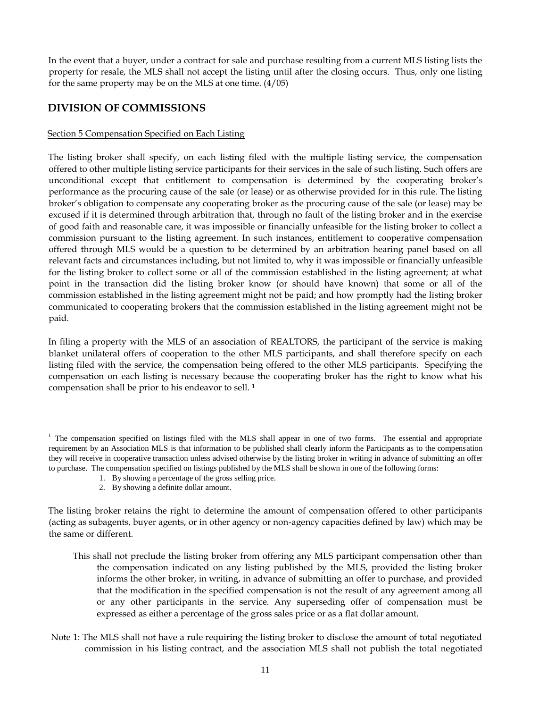In the event that a buyer, under a contract for sale and purchase resulting from a current MLS listing lists the property for resale, the MLS shall not accept the listing until after the closing occurs. Thus, only one listing for the same property may be on the MLS at one time. (4/05)

# **DIVISION OF COMMISSIONS**

## Section 5 Compensation Specified on Each Listing

The listing broker shall specify, on each listing filed with the multiple listing service, the compensation offered to other multiple listing service participants for their services in the sale of such listing. Such offers are unconditional except that entitlement to compensation is determined by the cooperating broker's performance as the procuring cause of the sale (or lease) or as otherwise provided for in this rule. The listing broker's obligation to compensate any cooperating broker as the procuring cause of the sale (or lease) may be excused if it is determined through arbitration that, through no fault of the listing broker and in the exercise of good faith and reasonable care, it was impossible or financially unfeasible for the listing broker to collect a commission pursuant to the listing agreement. In such instances, entitlement to cooperative compensation offered through MLS would be a question to be determined by an arbitration hearing panel based on all relevant facts and circumstances including, but not limited to, why it was impossible or financially unfeasible for the listing broker to collect some or all of the commission established in the listing agreement; at what point in the transaction did the listing broker know (or should have known) that some or all of the commission established in the listing agreement might not be paid; and how promptly had the listing broker communicated to cooperating brokers that the commission established in the listing agreement might not be paid.

In filing a property with the MLS of an association of REALTORS, the participant of the service is making blanket unilateral offers of cooperation to the other MLS participants, and shall therefore specify on each listing filed with the service, the compensation being offered to the other MLS participants. Specifying the compensation on each listing is necessary because the cooperating broker has the right to know what his compensation shall be prior to his endeavor to sell. <sup>1</sup>

<sup>1</sup> The compensation specified on listings filed with the MLS shall appear in one of two forms. The essential and appropriate requirement by an Association MLS is that information to be published shall clearly inform the Participants as to the compensation they will receive in cooperative transaction unless advised otherwise by the listing broker in writing in advance of submitting an offer to purchase. The compensation specified on listings published by the MLS shall be shown in one of the following forms:

- 1. By showing a percentage of the gross selling price.
- 2. By showing a definite dollar amount.

The listing broker retains the right to determine the amount of compensation offered to other participants (acting as subagents, buyer agents, or in other agency or non-agency capacities defined by law) which may be the same or different.

- This shall not preclude the listing broker from offering any MLS participant compensation other than the compensation indicated on any listing published by the MLS, provided the listing broker informs the other broker, in writing, in advance of submitting an offer to purchase, and provided that the modification in the specified compensation is not the result of any agreement among all or any other participants in the service. Any superseding offer of compensation must be expressed as either a percentage of the gross sales price or as a flat dollar amount.
- Note 1: The MLS shall not have a rule requiring the listing broker to disclose the amount of total negotiated commission in his listing contract, and the association MLS shall not publish the total negotiated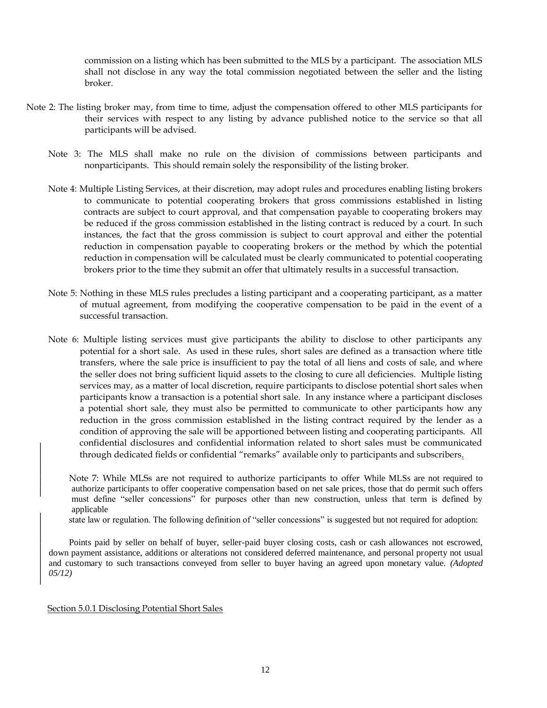commission on a listing which has been submitted to the MLS by a participant. The association MLS shall not disclose in any way the total commission negotiated between the seller and the listing broker.

- Note 2: The listing broker may, from time to time, adjust the compensation offered to other MLS participants for their services with respect to any listing by advance published notice to the service so that all participants will be advised.
	- Note 3: The MLS shall make no rule on the division of commissions between participants and nonparticipants. This should remain solely the responsibility of the listing broker.
	- Note 4: Multiple Listing Services, at their discretion, may adopt rules and procedures enabling listing brokers to communicate to potential cooperating brokers that gross commissions established in listing contracts are subject to court approval, and that compensation payable to cooperating brokers may be reduced if the gross commission established in the listing contract is reduced by a court. In such instances, the fact that the gross commission is subject to court approval and either the potential reduction in compensation payable to cooperating brokers or the method by which the potential reduction in compensation will be calculated must be clearly communicated to potential cooperating brokers prior to the time they submit an offer that ultimately results in a successful transaction.
	- Note 5: Nothing in these MLS rules precludes a listing participant and a cooperating participant, as a matter of mutual agreement, from modifying the cooperative compensation to be paid in the event of a successful transaction.
	- Note 6: Multiple listing services must give participants the ability to disclose to other participants any potential for a short sale. As used in these rules, short sales are defined as a transaction where title transfers, where the sale price is insufficient to pay the total of all liens and costs of sale, and where the seller does not bring sufficient liquid assets to the closing to cure all deficiencies. Multiple listing services may, as a matter of local discretion, require participants to disclose potential short sales when participants know a transaction is a potential short sale. In any instance where a participant discloses a potential short sale, they must also be permitted to communicate to other participants how any reduction in the gross commission established in the listing contract required by the lender as a condition of approving the sale will be apportioned between listing and cooperating participants. All confidential disclosures and confidential information related to short sales must be communicated through dedicated fields or confidential "remarks" available only to participants and subscribers.

Note 7: While MLSs are not required to authorize participants to offer While MLSs are not required to authorize participants to offer cooperative compensation based on net sale prices, those that do permit such offers must define "seller concessions" for purposes other than new construction, unless that term is defined by applicable

state law or regulation. The following definition of "seller concessions" is suggested but not required for adoption:

Points paid by seller on behalf of buyer, seller-paid buyer closing costs, cash or cash allowances not escrowed, down payment assistance, additions or alterations not considered deferred maintenance, and personal property not usual and customary to such transactions conveyed from seller to buyer having an agreed upon monetary value. *(Adopted 05/12)*

#### Section 5.0.1 Disclosing Potential Short Sales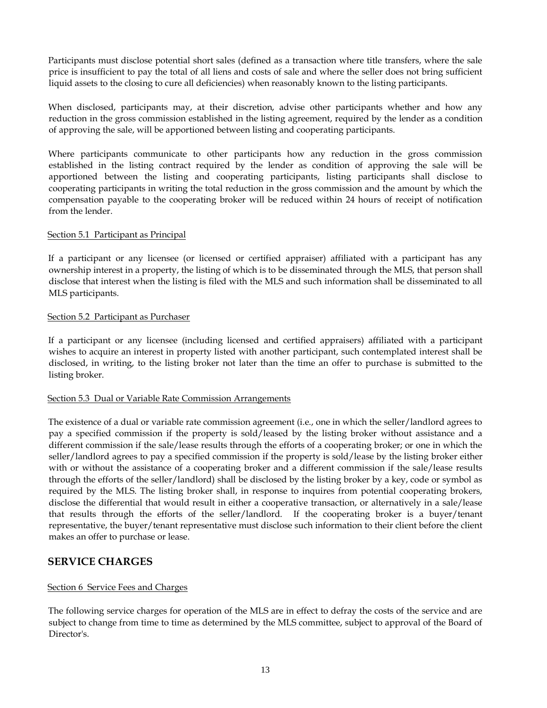Participants must disclose potential short sales (defined as a transaction where title transfers, where the sale price is insufficient to pay the total of all liens and costs of sale and where the seller does not bring sufficient liquid assets to the closing to cure all deficiencies) when reasonably known to the listing participants.

When disclosed, participants may, at their discretion, advise other participants whether and how any reduction in the gross commission established in the listing agreement, required by the lender as a condition of approving the sale, will be apportioned between listing and cooperating participants.

Where participants communicate to other participants how any reduction in the gross commission established in the listing contract required by the lender as condition of approving the sale will be apportioned between the listing and cooperating participants, listing participants shall disclose to cooperating participants in writing the total reduction in the gross commission and the amount by which the compensation payable to the cooperating broker will be reduced within 24 hours of receipt of notification from the lender.

## Section 5.1 Participant as Principal

If a participant or any licensee (or licensed or certified appraiser) affiliated with a participant has any ownership interest in a property, the listing of which is to be disseminated through the MLS, that person shall disclose that interest when the listing is filed with the MLS and such information shall be disseminated to all MLS participants.

## Section 5.2 Participant as Purchaser

If a participant or any licensee (including licensed and certified appraisers) affiliated with a participant wishes to acquire an interest in property listed with another participant, such contemplated interest shall be disclosed, in writing, to the listing broker not later than the time an offer to purchase is submitted to the listing broker.

## Section 5.3 Dual or Variable Rate Commission Arrangements

The existence of a dual or variable rate commission agreement (i.e., one in which the seller/landlord agrees to pay a specified commission if the property is sold/leased by the listing broker without assistance and a different commission if the sale/lease results through the efforts of a cooperating broker; or one in which the seller/landlord agrees to pay a specified commission if the property is sold/lease by the listing broker either with or without the assistance of a cooperating broker and a different commission if the sale/lease results through the efforts of the seller/landlord) shall be disclosed by the listing broker by a key, code or symbol as required by the MLS. The listing broker shall, in response to inquires from potential cooperating brokers, disclose the differential that would result in either a cooperative transaction, or alternatively in a sale/lease that results through the efforts of the seller/landlord. If the cooperating broker is a buyer/tenant representative, the buyer/tenant representative must disclose such information to their client before the client makes an offer to purchase or lease.

## **SERVICE CHARGES**

## Section 6 Service Fees and Charges

The following service charges for operation of the MLS are in effect to defray the costs of the service and are subject to change from time to time as determined by the MLS committee, subject to approval of the Board of Director's.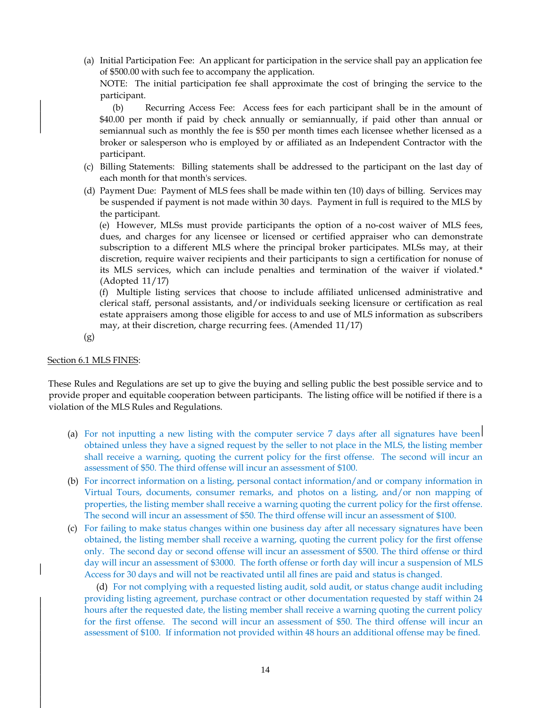(a) Initial Participation Fee: An applicant for participation in the service shall pay an application fee of \$500.00 with such fee to accompany the application.

NOTE: The initial participation fee shall approximate the cost of bringing the service to the participant.

(b) Recurring Access Fee: Access fees for each participant shall be in the amount of \$40.00 per month if paid by check annually or semiannually, if paid other than annual or semiannual such as monthly the fee is \$50 per month times each licensee whether licensed as a broker or salesperson who is employed by or affiliated as an Independent Contractor with the participant.

- (c) Billing Statements: Billing statements shall be addressed to the participant on the last day of each month for that month's services.
- (d) Payment Due: Payment of MLS fees shall be made within ten (10) days of billing. Services may be suspended if payment is not made within 30 days. Payment in full is required to the MLS by the participant.

(e) However, MLSs must provide participants the option of a no-cost waiver of MLS fees, dues, and charges for any licensee or licensed or certified appraiser who can demonstrate subscription to a different MLS where the principal broker participates. MLSs may, at their discretion, require waiver recipients and their participants to sign a certification for nonuse of its MLS services, which can include penalties and termination of the waiver if violated.\* (Adopted 11/17)

(f) Multiple listing services that choose to include affiliated unlicensed administrative and clerical staff, personal assistants, and/or individuals seeking licensure or certification as real estate appraisers among those eligible for access to and use of MLS information as subscribers may, at their discretion, charge recurring fees. (Amended 11/17)

(g)

## Section 6.1 MLS FINES:

These Rules and Regulations are set up to give the buying and selling public the best possible service and to provide proper and equitable cooperation between participants. The listing office will be notified if there is a violation of the MLS Rules and Regulations.

- (a) For not inputting a new listing with the computer service 7 days after all signatures have been obtained unless they have a signed request by the seller to not place in the MLS, the listing member shall receive a warning, quoting the current policy for the first offense. The second will incur an assessment of \$50. The third offense will incur an assessment of \$100.
- (b) For incorrect information on a listing, personal contact information/and or company information in Virtual Tours, documents, consumer remarks, and photos on a listing, and/or non mapping of properties, the listing member shall receive a warning quoting the current policy for the first offense. The second will incur an assessment of \$50. The third offense will incur an assessment of \$100.
- (c) For failing to make status changes within one business day after all necessary signatures have been obtained, the listing member shall receive a warning, quoting the current policy for the first offense only. The second day or second offense will incur an assessment of \$500. The third offense or third day will incur an assessment of \$3000. The forth offense or forth day will incur a suspension of MLS Access for 30 days and will not be reactivated until all fines are paid and status is changed.

(d) For not complying with a requested listing audit, sold audit, or status change audit including providing listing agreement, purchase contract or other documentation requested by staff within 24 hours after the requested date, the listing member shall receive a warning quoting the current policy for the first offense. The second will incur an assessment of \$50. The third offense will incur an assessment of \$100. If information not provided within 48 hours an additional offense may be fined.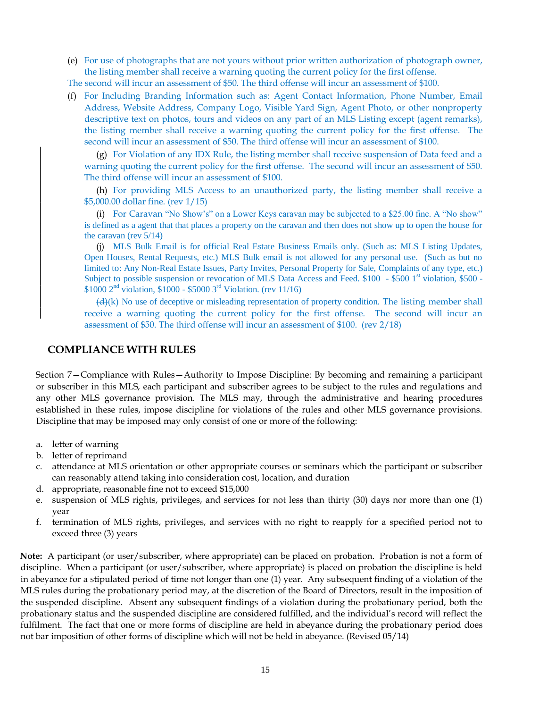(e) For use of photographs that are not yours without prior written authorization of photograph owner, the listing member shall receive a warning quoting the current policy for the first offense.

The second will incur an assessment of \$50. The third offense will incur an assessment of \$100.

(f) For Including Branding Information such as: Agent Contact Information, Phone Number, Email Address, Website Address, Company Logo, Visible Yard Sign, Agent Photo, or other nonproperty descriptive text on photos, tours and videos on any part of an MLS Listing except (agent remarks), the listing member shall receive a warning quoting the current policy for the first offense. The second will incur an assessment of \$50. The third offense will incur an assessment of \$100.

(g) For Violation of any IDX Rule, the listing member shall receive suspension of Data feed and a warning quoting the current policy for the first offense. The second will incur an assessment of \$50. The third offense will incur an assessment of \$100.

(h) For providing MLS Access to an unauthorized party, the listing member shall receive a \$5,000.00 dollar fine. (rev 1/15)

(i) For Caravan "No Show's" on a Lower Keys caravan may be subjected to a \$25.00 fine. A "No show" is defined as a agent that that places a property on the caravan and then does not show up to open the house for the caravan (rev 5/14)

(j) MLS Bulk Email is for official Real Estate Business Emails only. (Such as: MLS Listing Updates, Open Houses, Rental Requests, etc.) MLS Bulk email is not allowed for any personal use. (Such as but no limited to: Any Non-Real Estate Issues, Party Invites, Personal Property for Sale, Complaints of any type, etc.) Subject to possible suspension or revocation of MLS Data Access and Feed.  $$100 - $5001$ <sup>st</sup> violation, \$500 - $$1000 \, 2^{nd}$  violation,  $$1000 - $5000 \, 3^{rd}$  Violation. (rev 11/16)

 $(d)$ (k) No use of deceptive or misleading representation of property condition. The listing member shall receive a warning quoting the current policy for the first offense. The second will incur an assessment of \$50. The third offense will incur an assessment of \$100. (rev 2/18)

## **COMPLIANCE WITH RULES**

Section 7—Compliance with Rules—Authority to Impose Discipline: By becoming and remaining a participant or subscriber in this MLS, each participant and subscriber agrees to be subject to the rules and regulations and any other MLS governance provision. The MLS may, through the administrative and hearing procedures established in these rules, impose discipline for violations of the rules and other MLS governance provisions. Discipline that may be imposed may only consist of one or more of the following:

- a. letter of warning
- b. letter of reprimand
- c. attendance at MLS orientation or other appropriate courses or seminars which the participant or subscriber can reasonably attend taking into consideration cost, location, and duration
- d. appropriate, reasonable fine not to exceed \$15,000
- e. suspension of MLS rights, privileges, and services for not less than thirty (30) days nor more than one (1) year
- f. termination of MLS rights, privileges, and services with no right to reapply for a specified period not to exceed three (3) years

**Note:** A participant (or user/subscriber, where appropriate) can be placed on probation. Probation is not a form of discipline. When a participant (or user/subscriber, where appropriate) is placed on probation the discipline is held in abeyance for a stipulated period of time not longer than one (1) year. Any subsequent finding of a violation of the MLS rules during the probationary period may, at the discretion of the Board of Directors, result in the imposition of the suspended discipline. Absent any subsequent findings of a violation during the probationary period, both the probationary status and the suspended discipline are considered fulfilled, and the individual's record will reflect the fulfilment. The fact that one or more forms of discipline are held in abeyance during the probationary period does not bar imposition of other forms of discipline which will not be held in abeyance. (Revised 05/14)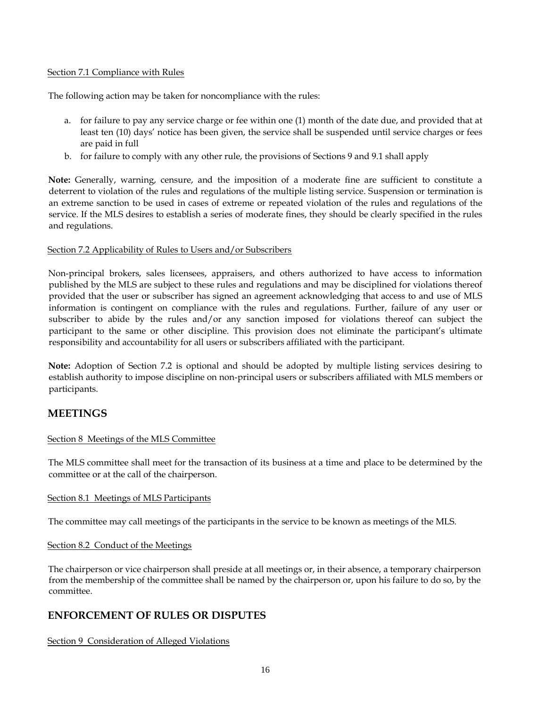## Section 7.1 Compliance with Rules

The following action may be taken for noncompliance with the rules:

- a. for failure to pay any service charge or fee within one (1) month of the date due, and provided that at least ten (10) days' notice has been given, the service shall be suspended until service charges or fees are paid in full
- b. for failure to comply with any other rule, the provisions of Sections 9 and 9.1 shall apply

**Note:** Generally, warning, censure, and the imposition of a moderate fine are sufficient to constitute a deterrent to violation of the rules and regulations of the multiple listing service. Suspension or termination is an extreme sanction to be used in cases of extreme or repeated violation of the rules and regulations of the service. If the MLS desires to establish a series of moderate fines, they should be clearly specified in the rules and regulations.

## Section 7.2 Applicability of Rules to Users and/or Subscribers

Non-principal brokers, sales licensees, appraisers, and others authorized to have access to information published by the MLS are subject to these rules and regulations and may be disciplined for violations thereof provided that the user or subscriber has signed an agreement acknowledging that access to and use of MLS information is contingent on compliance with the rules and regulations. Further, failure of any user or subscriber to abide by the rules and/or any sanction imposed for violations thereof can subject the participant to the same or other discipline. This provision does not eliminate the participant's ultimate responsibility and accountability for all users or subscribers affiliated with the participant.

**Note:** Adoption of Section 7.2 is optional and should be adopted by multiple listing services desiring to establish authority to impose discipline on non-principal users or subscribers affiliated with MLS members or participants.

# **MEETINGS**

## Section 8 Meetings of the MLS Committee

The MLS committee shall meet for the transaction of its business at a time and place to be determined by the committee or at the call of the chairperson.

## Section 8.1 Meetings of MLS Participants

The committee may call meetings of the participants in the service to be known as meetings of the MLS.

## Section 8.2 Conduct of the Meetings

The chairperson or vice chairperson shall preside at all meetings or, in their absence, a temporary chairperson from the membership of the committee shall be named by the chairperson or, upon his failure to do so, by the committee.

# **ENFORCEMENT OF RULES OR DISPUTES**

Section 9 Consideration of Alleged Violations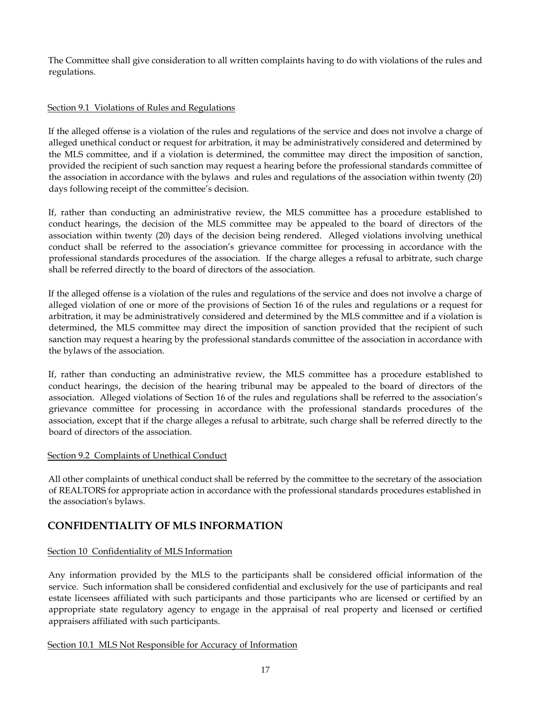The Committee shall give consideration to all written complaints having to do with violations of the rules and regulations.

## Section 9.1 Violations of Rules and Regulations

If the alleged offense is a violation of the rules and regulations of the service and does not involve a charge of alleged unethical conduct or request for arbitration, it may be administratively considered and determined by the MLS committee, and if a violation is determined, the committee may direct the imposition of sanction, provided the recipient of such sanction may request a hearing before the professional standards committee of the association in accordance with the bylaws and rules and regulations of the association within twenty (20) days following receipt of the committee's decision.

If, rather than conducting an administrative review, the MLS committee has a procedure established to conduct hearings, the decision of the MLS committee may be appealed to the board of directors of the association within twenty (20) days of the decision being rendered. Alleged violations involving unethical conduct shall be referred to the association's grievance committee for processing in accordance with the professional standards procedures of the association. If the charge alleges a refusal to arbitrate, such charge shall be referred directly to the board of directors of the association.

If the alleged offense is a violation of the rules and regulations of the service and does not involve a charge of alleged violation of one or more of the provisions of Section 16 of the rules and regulations or a request for arbitration, it may be administratively considered and determined by the MLS committee and if a violation is determined, the MLS committee may direct the imposition of sanction provided that the recipient of such sanction may request a hearing by the professional standards committee of the association in accordance with the bylaws of the association.

If, rather than conducting an administrative review, the MLS committee has a procedure established to conduct hearings, the decision of the hearing tribunal may be appealed to the board of directors of the association. Alleged violations of Section 16 of the rules and regulations shall be referred to the association's grievance committee for processing in accordance with the professional standards procedures of the association, except that if the charge alleges a refusal to arbitrate, such charge shall be referred directly to the board of directors of the association.

## Section 9.2 Complaints of Unethical Conduct

All other complaints of unethical conduct shall be referred by the committee to the secretary of the association of REALTORS for appropriate action in accordance with the professional standards procedures established in the association's bylaws.

# **CONFIDENTIALITY OF MLS INFORMATION**

## Section 10 Confidentiality of MLS Information

Any information provided by the MLS to the participants shall be considered official information of the service. Such information shall be considered confidential and exclusively for the use of participants and real estate licensees affiliated with such participants and those participants who are licensed or certified by an appropriate state regulatory agency to engage in the appraisal of real property and licensed or certified appraisers affiliated with such participants.

## Section 10.1 MLS Not Responsible for Accuracy of Information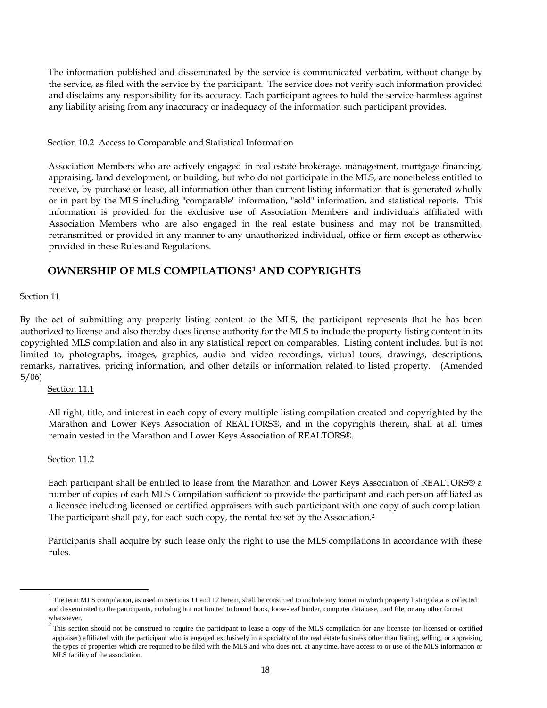The information published and disseminated by the service is communicated verbatim, without change by the service, as filed with the service by the participant. The service does not verify such information provided and disclaims any responsibility for its accuracy. Each participant agrees to hold the service harmless against any liability arising from any inaccuracy or inadequacy of the information such participant provides.

#### Section 10.2 Access to Comparable and Statistical Information

Association Members who are actively engaged in real estate brokerage, management, mortgage financing, appraising, land development, or building, but who do not participate in the MLS, are nonetheless entitled to receive, by purchase or lease, all information other than current listing information that is generated wholly or in part by the MLS including "comparable" information, "sold" information, and statistical reports. This information is provided for the exclusive use of Association Members and individuals affiliated with Association Members who are also engaged in the real estate business and may not be transmitted, retransmitted or provided in any manner to any unauthorized individual, office or firm except as otherwise provided in these Rules and Regulations.

## **OWNERSHIP OF MLS COMPILATIONS<sup>1</sup> AND COPYRIGHTS**

#### Section 11

By the act of submitting any property listing content to the MLS, the participant represents that he has been authorized to license and also thereby does license authority for the MLS to include the property listing content in its copyrighted MLS compilation and also in any statistical report on comparables. Listing content includes, but is not limited to, photographs, images, graphics, audio and video recordings, virtual tours, drawings, descriptions, remarks, narratives, pricing information, and other details or information related to listed property. (Amended 5/06)

#### Section 11.1

All right, title, and interest in each copy of every multiple listing compilation created and copyrighted by the Marathon and Lower Keys Association of REALTORS®, and in the copyrights therein, shall at all times remain vested in the Marathon and Lower Keys Association of REALTORS®.

## Section 11.2

j

Each participant shall be entitled to lease from the Marathon and Lower Keys Association of REALTORS® a number of copies of each MLS Compilation sufficient to provide the participant and each person affiliated as a licensee including licensed or certified appraisers with such participant with one copy of such compilation. The participant shall pay, for each such copy, the rental fee set by the Association.<sup>2</sup>

Participants shall acquire by such lease only the right to use the MLS compilations in accordance with these rules.

 $1$  The term MLS compilation, as used in Sections 11 and 12 herein, shall be construed to include any format in which property listing data is collected and disseminated to the participants, including but not limited to bound book, loose-leaf binder, computer database, card file, or any other format whatsoever.

 $2$  This section should not be construed to require the participant to lease a copy of the MLS compilation for any licensee (or licensed or certified appraiser) affiliated with the participant who is engaged exclusively in a specialty of the real estate business other than listing, selling, or appraising the types of properties which are required to be filed with the MLS and who does not, at any time, have access to or use of the MLS information or MLS facility of the association.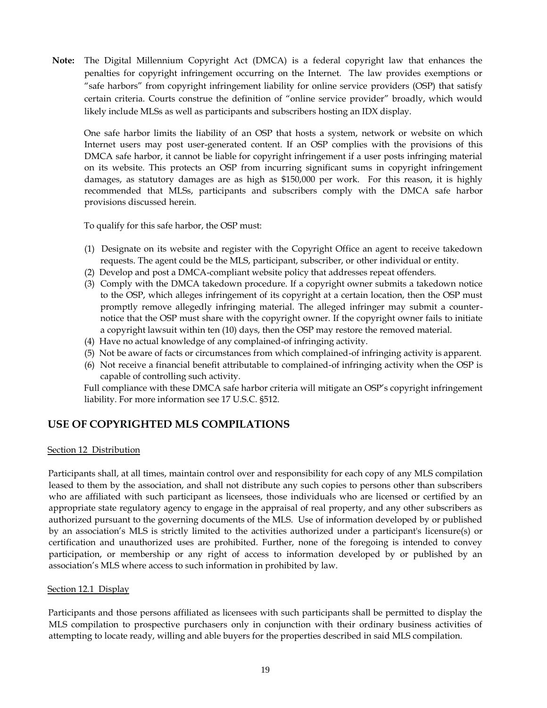**Note:** The Digital Millennium Copyright Act (DMCA) is a federal copyright law that enhances the penalties for copyright infringement occurring on the Internet. The law provides exemptions or "safe harbors" from copyright infringement liability for online service providers (OSP) that satisfy certain criteria. Courts construe the definition of "online service provider" broadly, which would likely include MLSs as well as participants and subscribers hosting an IDX display.

One safe harbor limits the liability of an OSP that hosts a system, network or website on which Internet users may post user-generated content. If an OSP complies with the provisions of this DMCA safe harbor, it cannot be liable for copyright infringement if a user posts infringing material on its website. This protects an OSP from incurring significant sums in copyright infringement damages, as statutory damages are as high as \$150,000 per work. For this reason, it is highly recommended that MLSs, participants and subscribers comply with the DMCA safe harbor provisions discussed herein.

To qualify for this safe harbor, the OSP must:

- (1) Designate on its website and register with the Copyright Office an agent to receive takedown requests. The agent could be the MLS, participant, subscriber, or other individual or entity.
- (2) Develop and post a DMCA-compliant website policy that addresses repeat offenders.
- (3) Comply with the DMCA takedown procedure. If a copyright owner submits a takedown notice to the OSP, which alleges infringement of its copyright at a certain location, then the OSP must promptly remove allegedly infringing material. The alleged infringer may submit a counternotice that the OSP must share with the copyright owner. If the copyright owner fails to initiate a copyright lawsuit within ten (10) days, then the OSP may restore the removed material.
- (4) Have no actual knowledge of any complained-of infringing activity.
- (5) Not be aware of facts or circumstances from which complained-of infringing activity is apparent.
- (6) Not receive a financial benefit attributable to complained-of infringing activity when the OSP is capable of controlling such activity.

Full compliance with these DMCA safe harbor criteria will mitigate an OSP's copyright infringement liability. For more information see [17 U.S.C. §512.](https://www.law.cornell.edu/uscode/text/17/512)

# **USE OF COPYRIGHTED MLS COMPILATIONS**

## Section 12 Distribution

Participants shall, at all times, maintain control over and responsibility for each copy of any MLS compilation leased to them by the association, and shall not distribute any such copies to persons other than subscribers who are affiliated with such participant as licensees, those individuals who are licensed or certified by an appropriate state regulatory agency to engage in the appraisal of real property, and any other subscribers as authorized pursuant to the governing documents of the MLS. Use of information developed by or published by an association's MLS is strictly limited to the activities authorized under a participant's licensure(s) or certification and unauthorized uses are prohibited. Further, none of the foregoing is intended to convey participation, or membership or any right of access to information developed by or published by an association's MLS where access to such information in prohibited by law.

## Section 12.1 Display

Participants and those persons affiliated as licensees with such participants shall be permitted to display the MLS compilation to prospective purchasers only in conjunction with their ordinary business activities of attempting to locate ready, willing and able buyers for the properties described in said MLS compilation.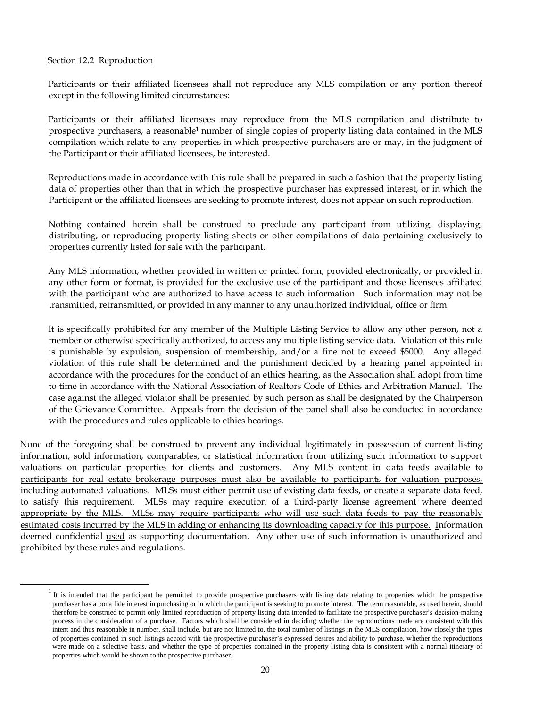## Section 12.2 Reproduction

j

Participants or their affiliated licensees shall not reproduce any MLS compilation or any portion thereof except in the following limited circumstances:

Participants or their affiliated licensees may reproduce from the MLS compilation and distribute to prospective purchasers, a reasonable<sup>1</sup> number of single copies of property listing data contained in the MLS compilation which relate to any properties in which prospective purchasers are or may, in the judgment of the Participant or their affiliated licensees, be interested.

Reproductions made in accordance with this rule shall be prepared in such a fashion that the property listing data of properties other than that in which the prospective purchaser has expressed interest, or in which the Participant or the affiliated licensees are seeking to promote interest, does not appear on such reproduction.

Nothing contained herein shall be construed to preclude any participant from utilizing, displaying, distributing, or reproducing property listing sheets or other compilations of data pertaining exclusively to properties currently listed for sale with the participant.

Any MLS information, whether provided in written or printed form, provided electronically, or provided in any other form or format, is provided for the exclusive use of the participant and those licensees affiliated with the participant who are authorized to have access to such information. Such information may not be transmitted, retransmitted, or provided in any manner to any unauthorized individual, office or firm.

It is specifically prohibited for any member of the Multiple Listing Service to allow any other person, not a member or otherwise specifically authorized, to access any multiple listing service data. Violation of this rule is punishable by expulsion, suspension of membership, and/or a fine not to exceed \$5000. Any alleged violation of this rule shall be determined and the punishment decided by a hearing panel appointed in accordance with the procedures for the conduct of an ethics hearing, as the Association shall adopt from time to time in accordance with the National Association of Realtors Code of Ethics and Arbitration Manual. The case against the alleged violator shall be presented by such person as shall be designated by the Chairperson of the Grievance Committee. Appeals from the decision of the panel shall also be conducted in accordance with the procedures and rules applicable to ethics hearings.

None of the foregoing shall be construed to prevent any individual legitimately in possession of current listing information, sold information, comparables, or statistical information from utilizing such information to support valuations on particular properties for clients and customers. Any MLS content in data feeds available to participants for real estate brokerage purposes must also be available to participants for valuation purposes, including automated valuations. MLSs must either permit use of existing data feeds, or create a separate data feed, to satisfy this requirement. MLSs may require execution of a third-party license agreement where deemed appropriate by the MLS. MLSs may require participants who will use such data feeds to pay the reasonably estimated costs incurred by the MLS in adding or enhancing its downloading capacity for this purpose. Information deemed confidential used as supporting documentation. Any other use of such information is unauthorized and prohibited by these rules and regulations.

 $1$  It is intended that the participant be permitted to provide prospective purchasers with listing data relating to properties which the prospective purchaser has a bona fide interest in purchasing or in which the participant is seeking to promote interest. The term reasonable, as used herein, should therefore be construed to permit only limited reproduction of property listing data intended to facilitate the prospective purchaser's decision-making process in the consideration of a purchase. Factors which shall be considered in deciding whether the reproductions made are consistent with this intent and thus reasonable in number, shall include, but are not limited to, the total number of listings in the MLS compilation, how closely the types of properties contained in such listings accord with the prospective purchaser's expressed desires and ability to purchase, whether the reproductions were made on a selective basis, and whether the type of properties contained in the property listing data is consistent with a normal itinerary of properties which would be shown to the prospective purchaser.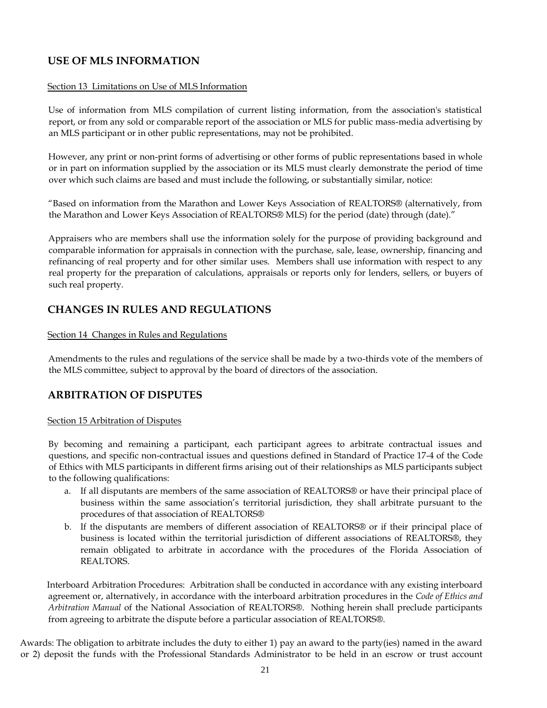# **USE OF MLS INFORMATION**

## Section 13 Limitations on Use of MLS Information

Use of information from MLS compilation of current listing information, from the association's statistical report, or from any sold or comparable report of the association or MLS for public mass-media advertising by an MLS participant or in other public representations, may not be prohibited.

However, any print or non-print forms of advertising or other forms of public representations based in whole or in part on information supplied by the association or its MLS must clearly demonstrate the period of time over which such claims are based and must include the following, or substantially similar, notice:

"Based on information from the Marathon and Lower Keys Association of REALTORS® (alternatively, from the Marathon and Lower Keys Association of REALTORS® MLS) for the period (date) through (date)."

Appraisers who are members shall use the information solely for the purpose of providing background and comparable information for appraisals in connection with the purchase, sale, lease, ownership, financing and refinancing of real property and for other similar uses. Members shall use information with respect to any real property for the preparation of calculations, appraisals or reports only for lenders, sellers, or buyers of such real property.

# **CHANGES IN RULES AND REGULATIONS**

## Section 14 Changes in Rules and Regulations

Amendments to the rules and regulations of the service shall be made by a two-thirds vote of the members of the MLS committee, subject to approval by the board of directors of the association.

# **ARBITRATION OF DISPUTES**

## Section 15 Arbitration of Disputes

By becoming and remaining a participant, each participant agrees to arbitrate contractual issues and questions, and specific non-contractual issues and questions defined in Standard of Practice 17-4 of the Code of Ethics with MLS participants in different firms arising out of their relationships as MLS participants subject to the following qualifications:

- a. If all disputants are members of the same association of REALTORS® or have their principal place of business within the same association's territorial jurisdiction, they shall arbitrate pursuant to the procedures of that association of REALTORS®
- b. If the disputants are members of different association of REALTORS® or if their principal place of business is located within the territorial jurisdiction of different associations of REALTORS®, they remain obligated to arbitrate in accordance with the procedures of the Florida Association of REALTORS.

 Interboard Arbitration Procedures: Arbitration shall be conducted in accordance with any existing interboard agreement or, alternatively, in accordance with the interboard arbitration procedures in the *Code of Ethics and Arbitration Manual* of the National Association of REALTORS®. Nothing herein shall preclude participants from agreeing to arbitrate the dispute before a particular association of REALTORS®.

Awards: The obligation to arbitrate includes the duty to either 1) pay an award to the party(ies) named in the award or 2) deposit the funds with the Professional Standards Administrator to be held in an escrow or trust account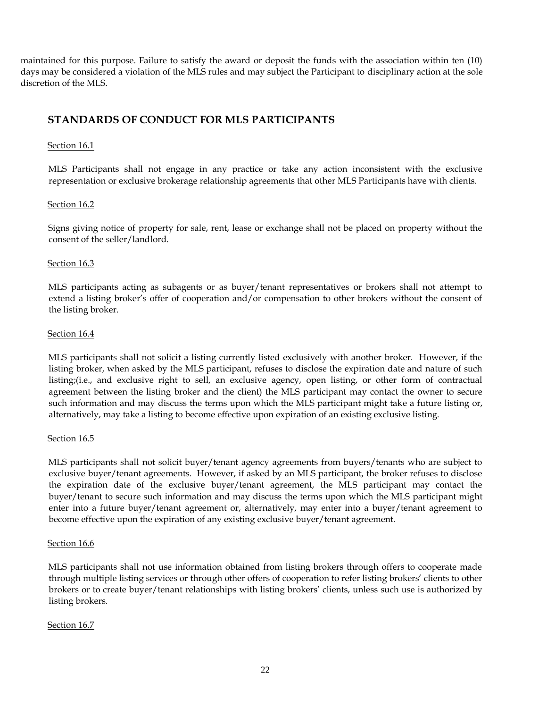maintained for this purpose. Failure to satisfy the award or deposit the funds with the association within ten (10) days may be considered a violation of the MLS rules and may subject the Participant to disciplinary action at the sole discretion of the MLS.

# **STANDARDS OF CONDUCT FOR MLS PARTICIPANTS**

## Section 16.1

MLS Participants shall not engage in any practice or take any action inconsistent with the exclusive representation or exclusive brokerage relationship agreements that other MLS Participants have with clients.

## Section 16.2

Signs giving notice of property for sale, rent, lease or exchange shall not be placed on property without the consent of the seller/landlord.

## Section 16.3

MLS participants acting as subagents or as buyer/tenant representatives or brokers shall not attempt to extend a listing broker's offer of cooperation and/or compensation to other brokers without the consent of the listing broker.

## Section 16.4

MLS participants shall not solicit a listing currently listed exclusively with another broker. However, if the listing broker, when asked by the MLS participant, refuses to disclose the expiration date and nature of such listing;(i.e., and exclusive right to sell, an exclusive agency, open listing, or other form of contractual agreement between the listing broker and the client) the MLS participant may contact the owner to secure such information and may discuss the terms upon which the MLS participant might take a future listing or, alternatively, may take a listing to become effective upon expiration of an existing exclusive listing.

## Section 16.5

MLS participants shall not solicit buyer/tenant agency agreements from buyers/tenants who are subject to exclusive buyer/tenant agreements. However, if asked by an MLS participant, the broker refuses to disclose the expiration date of the exclusive buyer/tenant agreement, the MLS participant may contact the buyer/tenant to secure such information and may discuss the terms upon which the MLS participant might enter into a future buyer/tenant agreement or, alternatively, may enter into a buyer/tenant agreement to become effective upon the expiration of any existing exclusive buyer/tenant agreement.

## Section 16.6

MLS participants shall not use information obtained from listing brokers through offers to cooperate made through multiple listing services or through other offers of cooperation to refer listing brokers' clients to other brokers or to create buyer/tenant relationships with listing brokers' clients, unless such use is authorized by listing brokers.

## Section 16.7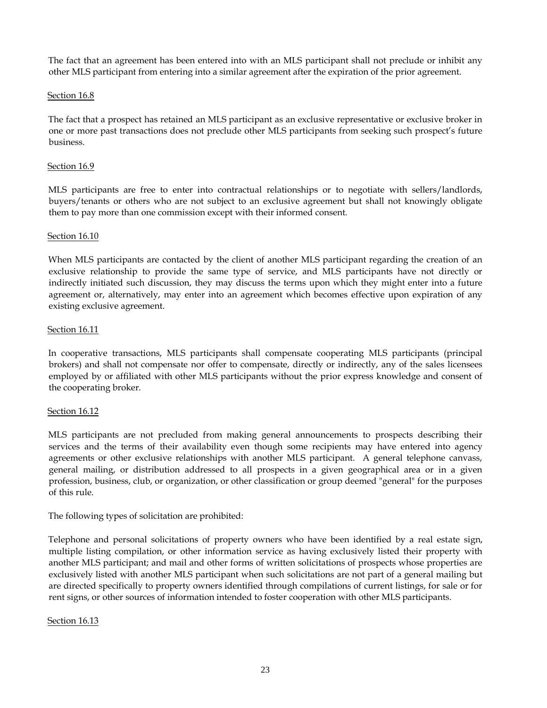The fact that an agreement has been entered into with an MLS participant shall not preclude or inhibit any other MLS participant from entering into a similar agreement after the expiration of the prior agreement.

## Section 16.8

The fact that a prospect has retained an MLS participant as an exclusive representative or exclusive broker in one or more past transactions does not preclude other MLS participants from seeking such prospect's future business.

## Section 16.9

MLS participants are free to enter into contractual relationships or to negotiate with sellers/landlords, buyers/tenants or others who are not subject to an exclusive agreement but shall not knowingly obligate them to pay more than one commission except with their informed consent.

## Section 16.10

When MLS participants are contacted by the client of another MLS participant regarding the creation of an exclusive relationship to provide the same type of service, and MLS participants have not directly or indirectly initiated such discussion, they may discuss the terms upon which they might enter into a future agreement or, alternatively, may enter into an agreement which becomes effective upon expiration of any existing exclusive agreement.

## **Section 16.11**

In cooperative transactions, MLS participants shall compensate cooperating MLS participants (principal brokers) and shall not compensate nor offer to compensate, directly or indirectly, any of the sales licensees employed by or affiliated with other MLS participants without the prior express knowledge and consent of the cooperating broker.

## Section 16.12

MLS participants are not precluded from making general announcements to prospects describing their services and the terms of their availability even though some recipients may have entered into agency agreements or other exclusive relationships with another MLS participant. A general telephone canvass, general mailing, or distribution addressed to all prospects in a given geographical area or in a given profession, business, club, or organization, or other classification or group deemed "general" for the purposes of this rule.

The following types of solicitation are prohibited:

Telephone and personal solicitations of property owners who have been identified by a real estate sign, multiple listing compilation, or other information service as having exclusively listed their property with another MLS participant; and mail and other forms of written solicitations of prospects whose properties are exclusively listed with another MLS participant when such solicitations are not part of a general mailing but are directed specifically to property owners identified through compilations of current listings, for sale or for rent signs, or other sources of information intended to foster cooperation with other MLS participants.

## Section 16.13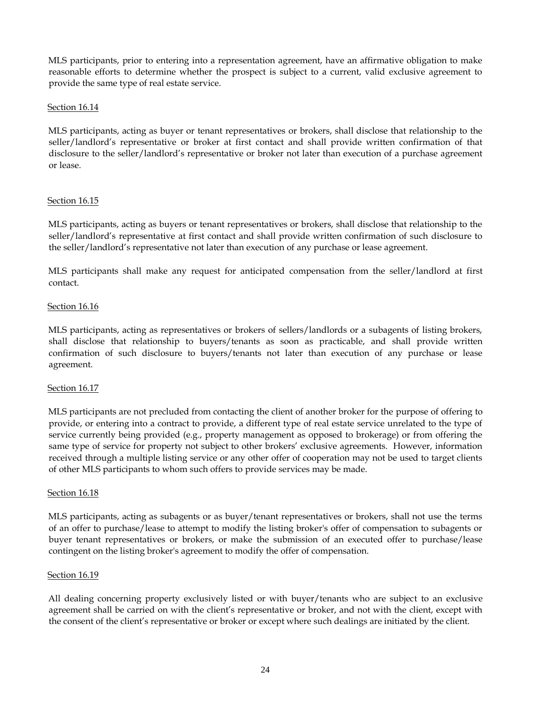MLS participants, prior to entering into a representation agreement, have an affirmative obligation to make reasonable efforts to determine whether the prospect is subject to a current, valid exclusive agreement to provide the same type of real estate service.

## Section 16.14

MLS participants, acting as buyer or tenant representatives or brokers, shall disclose that relationship to the seller/landlord's representative or broker at first contact and shall provide written confirmation of that disclosure to the seller/landlord's representative or broker not later than execution of a purchase agreement or lease.

## Section 16.15

MLS participants, acting as buyers or tenant representatives or brokers, shall disclose that relationship to the seller/landlord's representative at first contact and shall provide written confirmation of such disclosure to the seller/landlord's representative not later than execution of any purchase or lease agreement.

MLS participants shall make any request for anticipated compensation from the seller/landlord at first contact.

## Section 16.16

MLS participants, acting as representatives or brokers of sellers/landlords or a subagents of listing brokers, shall disclose that relationship to buyers/tenants as soon as practicable, and shall provide written confirmation of such disclosure to buyers/tenants not later than execution of any purchase or lease agreement.

## Section 16.17

MLS participants are not precluded from contacting the client of another broker for the purpose of offering to provide, or entering into a contract to provide, a different type of real estate service unrelated to the type of service currently being provided (e.g., property management as opposed to brokerage) or from offering the same type of service for property not subject to other brokers' exclusive agreements. However, information received through a multiple listing service or any other offer of cooperation may not be used to target clients of other MLS participants to whom such offers to provide services may be made.

## Section 16.18

MLS participants, acting as subagents or as buyer/tenant representatives or brokers, shall not use the terms of an offer to purchase/lease to attempt to modify the listing broker's offer of compensation to subagents or buyer tenant representatives or brokers, or make the submission of an executed offer to purchase/lease contingent on the listing broker's agreement to modify the offer of compensation.

## Section 16.19

All dealing concerning property exclusively listed or with buyer/tenants who are subject to an exclusive agreement shall be carried on with the client's representative or broker, and not with the client, except with the consent of the client's representative or broker or except where such dealings are initiated by the client.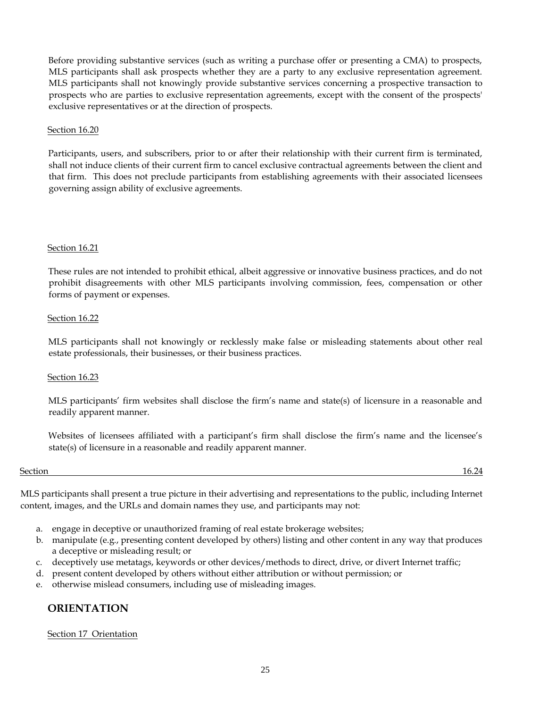Before providing substantive services (such as writing a purchase offer or presenting a CMA) to prospects, MLS participants shall ask prospects whether they are a party to any exclusive representation agreement. MLS participants shall not knowingly provide substantive services concerning a prospective transaction to prospects who are parties to exclusive representation agreements, except with the consent of the prospects' exclusive representatives or at the direction of prospects.

## Section 16.20

Participants, users, and subscribers, prior to or after their relationship with their current firm is terminated, shall not induce clients of their current firm to cancel exclusive contractual agreements between the client and that firm. This does not preclude participants from establishing agreements with their associated licensees governing assign ability of exclusive agreements.

## Section 16.21

These rules are not intended to prohibit ethical, albeit aggressive or innovative business practices, and do not prohibit disagreements with other MLS participants involving commission, fees, compensation or other forms of payment or expenses.

## Section 16.22

MLS participants shall not knowingly or recklessly make false or misleading statements about other real estate professionals, their businesses, or their business practices.

## Section 16.23

MLS participants' firm websites shall disclose the firm's name and state(s) of licensure in a reasonable and readily apparent manner.

Websites of licensees affiliated with a participant's firm shall disclose the firm's name and the licensee's state(s) of licensure in a reasonable and readily apparent manner.

## Section **16.24**

MLS participants shall present a true picture in their advertising and representations to the public, including Internet content, images, and the URLs and domain names they use, and participants may not:

- a. engage in deceptive or unauthorized framing of real estate brokerage websites;
- b. manipulate (e.g., presenting content developed by others) listing and other content in any way that produces a deceptive or misleading result; or
- c. deceptively use metatags, keywords or other devices/methods to direct, drive, or divert Internet traffic;
- d. present content developed by others without either attribution or without permission; or
- e. otherwise mislead consumers, including use of misleading images.

# **ORIENTATION**

## Section 17 Orientation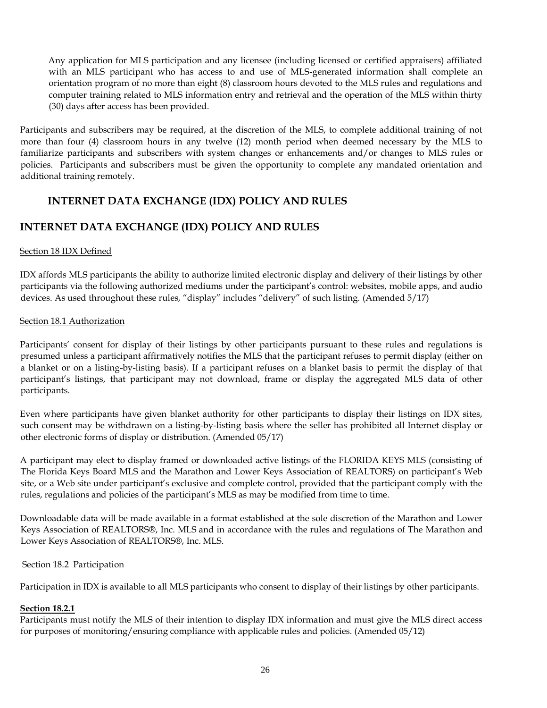Any application for MLS participation and any licensee (including licensed or certified appraisers) affiliated with an MLS participant who has access to and use of MLS-generated information shall complete an orientation program of no more than eight (8) classroom hours devoted to the MLS rules and regulations and computer training related to MLS information entry and retrieval and the operation of the MLS within thirty (30) days after access has been provided.

Participants and subscribers may be required, at the discretion of the MLS, to complete additional training of not more than four (4) classroom hours in any twelve (12) month period when deemed necessary by the MLS to familiarize participants and subscribers with system changes or enhancements and/or changes to MLS rules or policies. Participants and subscribers must be given the opportunity to complete any mandated orientation and additional training remotely.

# **INTERNET DATA EXCHANGE (IDX) POLICY AND RULES**

# **INTERNET DATA EXCHANGE (IDX) POLICY AND RULES**

## Section 18 IDX Defined

IDX affords MLS participants the ability to authorize limited electronic display and delivery of their listings by other participants via the following authorized mediums under the participant's control: websites, mobile apps, and audio devices. As used throughout these rules, "display" includes "delivery" of such listing. (Amended 5/17)

## Section 18.1 Authorization

Participants' consent for display of their listings by other participants pursuant to these rules and regulations is presumed unless a participant affirmatively notifies the MLS that the participant refuses to permit display (either on a blanket or on a listing-by-listing basis). If a participant refuses on a blanket basis to permit the display of that participant's listings, that participant may not download, frame or display the aggregated MLS data of other participants.

Even where participants have given blanket authority for other participants to display their listings on IDX sites, such consent may be withdrawn on a listing-by-listing basis where the seller has prohibited all Internet display or other electronic forms of display or distribution. (Amended 05/17)

A participant may elect to display framed or downloaded active listings of the FLORIDA KEYS MLS (consisting of The Florida Keys Board MLS and the Marathon and Lower Keys Association of REALTORS) on participant's Web site, or a Web site under participant's exclusive and complete control, provided that the participant comply with the rules, regulations and policies of the participant's MLS as may be modified from time to time.

Downloadable data will be made available in a format established at the sole discretion of the Marathon and Lower Keys Association of REALTORS®, Inc. MLS and in accordance with the rules and regulations of The Marathon and Lower Keys Association of REALTORS®, Inc. MLS.

## Section 18.2 Participation

Participation in IDX is available to all MLS participants who consent to display of their listings by other participants.

## **Section 18.2.1**

Participants must notify the MLS of their intention to display IDX information and must give the MLS direct access for purposes of monitoring/ensuring compliance with applicable rules and policies. (Amended 05/12)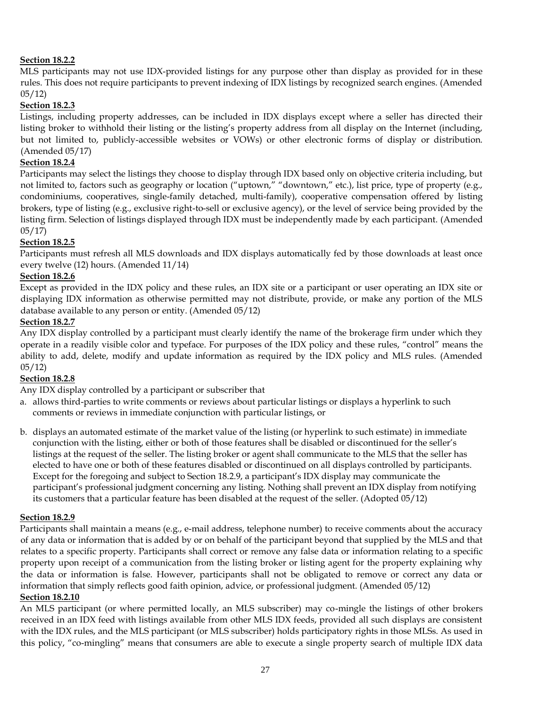## **Section 18.2.2**

MLS participants may not use IDX-provided listings for any purpose other than display as provided for in these rules. This does not require participants to prevent indexing of IDX listings by recognized search engines. (Amended 05/12)

## **Section 18.2.3**

Listings, including property addresses, can be included in IDX displays except where a seller has directed their listing broker to withhold their listing or the listing's property address from all display on the Internet (including, but not limited to, publicly-accessible websites or VOWs) or other electronic forms of display or distribution. (Amended 05/17)

## **Section 18.2.4**

Participants may select the listings they choose to display through IDX based only on objective criteria including, but not limited to, factors such as geography or location ("uptown," "downtown," etc.), list price, type of property (e.g., condominiums, cooperatives, single-family detached, multi-family), cooperative compensation offered by listing brokers, type of listing (e.g., exclusive right-to-sell or exclusive agency), or the level of service being provided by the listing firm. Selection of listings displayed through IDX must be independently made by each participant. (Amended 05/17)

## **Section 18.2.5**

Participants must refresh all MLS downloads and IDX displays automatically fed by those downloads at least once every twelve (12) hours. (Amended 11/14)

## **Section 18.2.6**

Except as provided in the IDX policy and these rules, an IDX site or a participant or user operating an IDX site or displaying IDX information as otherwise permitted may not distribute, provide, or make any portion of the MLS database available to any person or entity. (Amended 05/12)

## **Section 18.2.7**

Any IDX display controlled by a participant must clearly identify the name of the brokerage firm under which they operate in a readily visible color and typeface. For purposes of the IDX policy and these rules, "control" means the ability to add, delete, modify and update information as required by the IDX policy and MLS rules. (Amended 05/12)

## **Section 18.2.8**

Any IDX display controlled by a participant or subscriber that

- a. allows third-parties to write comments or reviews about particular listings or displays a hyperlink to such comments or reviews in immediate conjunction with particular listings, or
- b. displays an automated estimate of the market value of the listing (or hyperlink to such estimate) in immediate conjunction with the listing, either or both of those features shall be disabled or discontinued for the seller's listings at the request of the seller. The listing broker or agent shall communicate to the MLS that the seller has elected to have one or both of these features disabled or discontinued on all displays controlled by participants. Except for the foregoing and subject to Section 18.2.9, a participant's IDX display may communicate the participant's professional judgment concerning any listing. Nothing shall prevent an IDX display from notifying its customers that a particular feature has been disabled at the request of the seller. (Adopted 05/12)

## **Section 18.2.9**

Participants shall maintain a means (e.g., e-mail address, telephone number) to receive comments about the accuracy of any data or information that is added by or on behalf of the participant beyond that supplied by the MLS and that relates to a specific property. Participants shall correct or remove any false data or information relating to a specific property upon receipt of a communication from the listing broker or listing agent for the property explaining why the data or information is false. However, participants shall not be obligated to remove or correct any data or information that simply reflects good faith opinion, advice, or professional judgment. (Amended 05/12) **Section 18.2.10**

An MLS participant (or where permitted locally, an MLS subscriber) may co-mingle the listings of other brokers received in an IDX feed with listings available from other MLS IDX feeds, provided all such displays are consistent with the IDX rules, and the MLS participant (or MLS subscriber) holds participatory rights in those MLSs. As used in this policy, "co-mingling" means that consumers are able to execute a single property search of multiple IDX data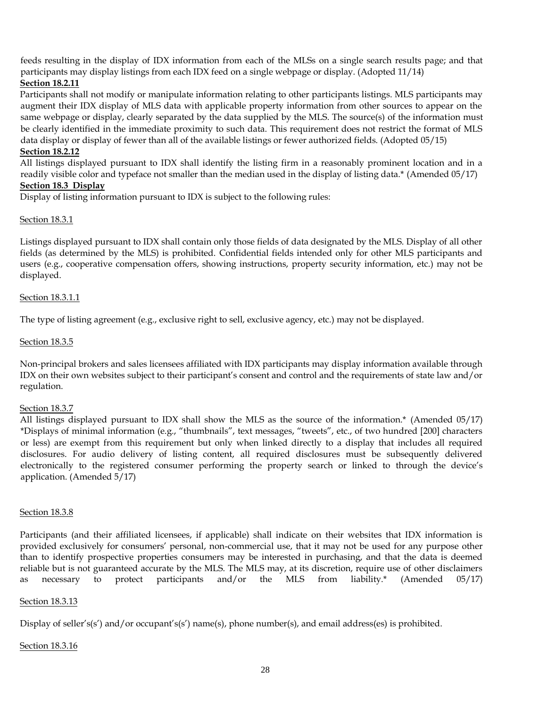feeds resulting in the display of IDX information from each of the MLSs on a single search results page; and that participants may display listings from each IDX feed on a single webpage or display. (Adopted 11/14)

## **Section 18.2.11**

Participants shall not modify or manipulate information relating to other participants listings. MLS participants may augment their IDX display of MLS data with applicable property information from other sources to appear on the same webpage or display, clearly separated by the data supplied by the MLS. The source(s) of the information must be clearly identified in the immediate proximity to such data. This requirement does not restrict the format of MLS data display or display of fewer than all of the available listings or fewer authorized fields. (Adopted 05/15)

## **Section 18.2.12**

All listings displayed pursuant to IDX shall identify the listing firm in a reasonably prominent location and in a readily visible color and typeface not smaller than the median used in the display of listing data.\* (Amended 05/17)

## **Section 18.3 Display**

Display of listing information pursuant to IDX is subject to the following rules:

## Section 18.3.1

Listings displayed pursuant to IDX shall contain only those fields of data designated by the MLS. Display of all other fields (as determined by the MLS) is prohibited. Confidential fields intended only for other MLS participants and users (e.g., cooperative compensation offers, showing instructions, property security information, etc.) may not be displayed.

## Section 18.3.1.1

The type of listing agreement (e.g., exclusive right to sell, exclusive agency, etc.) may not be displayed.

## Section 18.3.5

Non-principal brokers and sales licensees affiliated with IDX participants may display information available through IDX on their own websites subject to their participant's consent and control and the requirements of state law and/or regulation.

## Section 18.3.7

All listings displayed pursuant to IDX shall show the MLS as the source of the information.\* (Amended 05/17) \*Displays of minimal information (e.g., "thumbnails", text messages, "tweets", etc., of two hundred [200] characters or less) are exempt from this requirement but only when linked directly to a display that includes all required disclosures. For audio delivery of listing content, all required disclosures must be subsequently delivered electronically to the registered consumer performing the property search or linked to through the device's application. (Amended 5/17)

## Section 18.3.8

Participants (and their affiliated licensees, if applicable) shall indicate on their websites that IDX information is provided exclusively for consumers' personal, non-commercial use, that it may not be used for any purpose other than to identify prospective properties consumers may be interested in purchasing, and that the data is deemed reliable but is not guaranteed accurate by the MLS. The MLS may, at its discretion, require use of other disclaimers as necessary to protect participants and/or the MLS from liability.\* (Amended 05/17)

## Section 18.3.13

Display of seller's(s') and/or occupant's(s') name(s), phone number(s), and email address(es) is prohibited.

## Section 18.3.16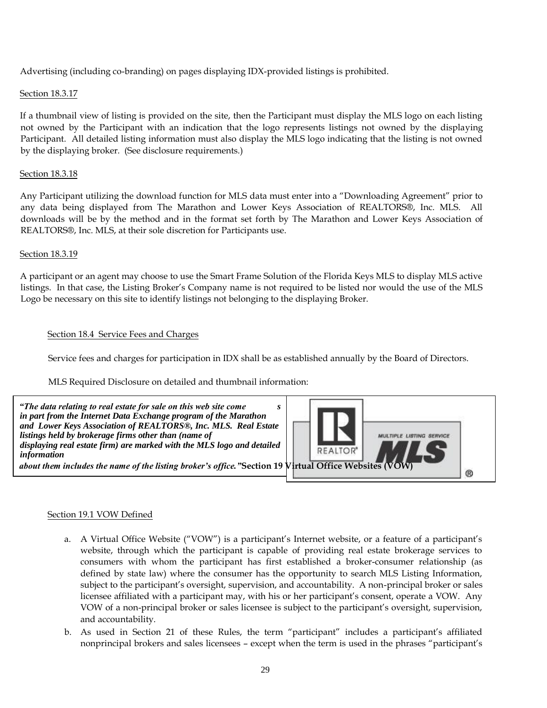Advertising (including co-branding) on pages displaying IDX-provided listings is prohibited.

## Section 18.3.17

If a thumbnail view of listing is provided on the site, then the Participant must display the MLS logo on each listing not owned by the Participant with an indication that the logo represents listings not owned by the displaying Participant. All detailed listing information must also display the MLS logo indicating that the listing is not owned by the displaying broker. (See disclosure requirements.)

## Section 18.3.18

Any Participant utilizing the download function for MLS data must enter into a "Downloading Agreement" prior to any data being displayed from The Marathon and Lower Keys Association of REALTORS®, Inc. MLS. All downloads will be by the method and in the format set forth by The Marathon and Lower Keys Association of REALTORS®, Inc. MLS, at their sole discretion for Participants use.

## Section 18.3.19

A participant or an agent may choose to use the Smart Frame Solution of the Florida Keys MLS to display MLS active listings. In that case, the Listing Broker's Company name is not required to be listed nor would the use of the MLS Logo be necessary on this site to identify listings not belonging to the displaying Broker.

## Section 18.4 Service Fees and Charges

Service fees and charges for participation in IDX shall be as established annually by the Board of Directors.

MLS Required Disclosure on detailed and thumbnail information:



## Section 19.1 VOW Defined

- a. A Virtual Office Website ("VOW") is a participant's Internet website, or a feature of a participant's website, through which the participant is capable of providing real estate brokerage services to consumers with whom the participant has first established a broker-consumer relationship (as defined by state law) where the consumer has the opportunity to search MLS Listing Information, subject to the participant's oversight, supervision, and accountability. A non-principal broker or sales licensee affiliated with a participant may, with his or her participant's consent, operate a VOW. Any VOW of a non-principal broker or sales licensee is subject to the participant's oversight, supervision, and accountability.
- b. As used in Section 21 of these Rules, the term "participant" includes a participant's affiliated nonprincipal brokers and sales licensees – except when the term is used in the phrases "participant's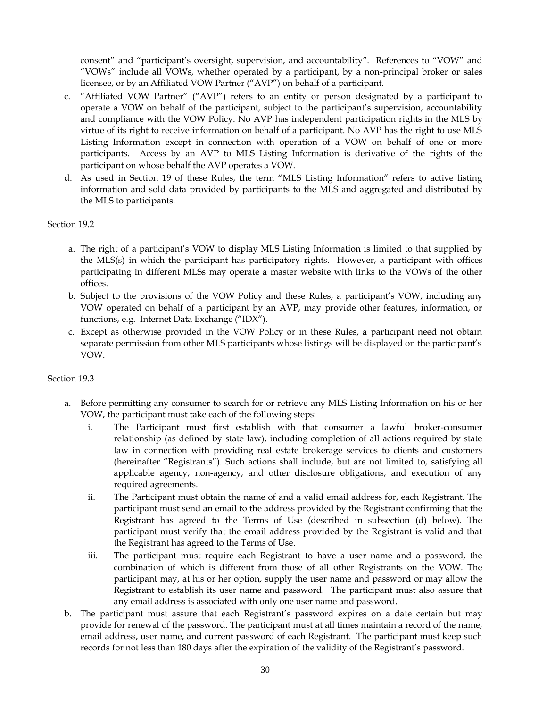consent" and "participant's oversight, supervision, and accountability". References to "VOW" and "VOWs" include all VOWs, whether operated by a participant, by a non-principal broker or sales licensee, or by an Affiliated VOW Partner ("AVP") on behalf of a participant.

- c. "Affiliated VOW Partner" ("AVP") refers to an entity or person designated by a participant to operate a VOW on behalf of the participant, subject to the participant's supervision, accountability and compliance with the VOW Policy. No AVP has independent participation rights in the MLS by virtue of its right to receive information on behalf of a participant. No AVP has the right to use MLS Listing Information except in connection with operation of a VOW on behalf of one or more participants. Access by an AVP to MLS Listing Information is derivative of the rights of the participant on whose behalf the AVP operates a VOW.
- d. As used in Section 19 of these Rules, the term "MLS Listing Information" refers to active listing information and sold data provided by participants to the MLS and aggregated and distributed by the MLS to participants.

## Section 19.2

- a. The right of a participant's VOW to display MLS Listing Information is limited to that supplied by the MLS(s) in which the participant has participatory rights. However, a participant with offices participating in different MLSs may operate a master website with links to the VOWs of the other offices.
- b. Subject to the provisions of the VOW Policy and these Rules, a participant's VOW, including any VOW operated on behalf of a participant by an AVP, may provide other features, information, or functions, e.g. Internet Data Exchange ("IDX").
- c. Except as otherwise provided in the VOW Policy or in these Rules, a participant need not obtain separate permission from other MLS participants whose listings will be displayed on the participant's VOW.

## Section 19.3

- a. Before permitting any consumer to search for or retrieve any MLS Listing Information on his or her VOW, the participant must take each of the following steps:
	- i. The Participant must first establish with that consumer a lawful broker-consumer relationship (as defined by state law), including completion of all actions required by state law in connection with providing real estate brokerage services to clients and customers (hereinafter "Registrants"). Such actions shall include, but are not limited to, satisfying all applicable agency, non-agency, and other disclosure obligations, and execution of any required agreements.
	- ii. The Participant must obtain the name of and a valid email address for, each Registrant. The participant must send an email to the address provided by the Registrant confirming that the Registrant has agreed to the Terms of Use (described in subsection (d) below). The participant must verify that the email address provided by the Registrant is valid and that the Registrant has agreed to the Terms of Use.
	- iii. The participant must require each Registrant to have a user name and a password, the combination of which is different from those of all other Registrants on the VOW. The participant may, at his or her option, supply the user name and password or may allow the Registrant to establish its user name and password. The participant must also assure that any email address is associated with only one user name and password.
- b. The participant must assure that each Registrant's password expires on a date certain but may provide for renewal of the password. The participant must at all times maintain a record of the name, email address, user name, and current password of each Registrant. The participant must keep such records for not less than 180 days after the expiration of the validity of the Registrant's password.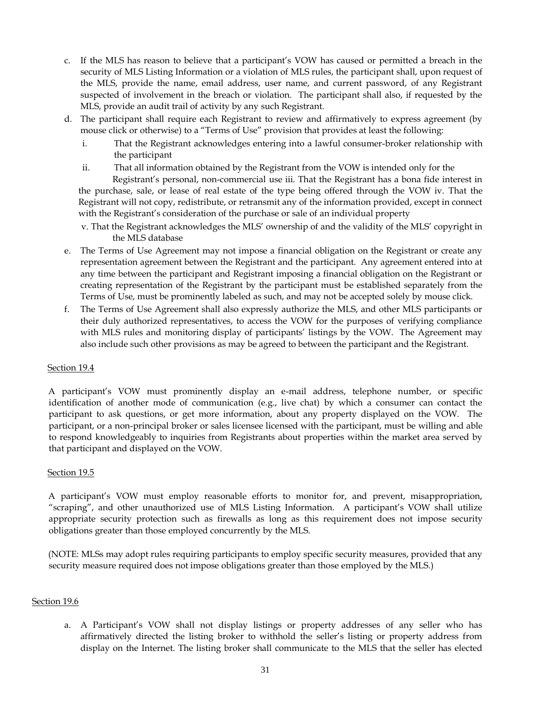- c. If the MLS has reason to believe that a participant's VOW has caused or permitted a breach in the security of MLS Listing Information or a violation of MLS rules, the participant shall, upon request of the MLS, provide the name, email address, user name, and current password, of any Registrant suspected of involvement in the breach or violation. The participant shall also, if requested by the MLS, provide an audit trail of activity by any such Registrant.
- d. The participant shall require each Registrant to review and affirmatively to express agreement (by mouse click or otherwise) to a "Terms of Use" provision that provides at least the following:
	- i. That the Registrant acknowledges entering into a lawful consumer-broker relationship with the participant
	- ii. That all information obtained by the Registrant from the VOW is intended only for the

Registrant's personal, non-commercial use iii. That the Registrant has a bona fide interest in the purchase, sale, or lease of real estate of the type being offered through the VOW iv. That the Registrant will not copy, redistribute, or retransmit any of the information provided, except in connect with the Registrant's consideration of the purchase or sale of an individual property

- v. That the Registrant acknowledges the MLS' ownership of and the validity of the MLS' copyright in the MLS database
- e. The Terms of Use Agreement may not impose a financial obligation on the Registrant or create any representation agreement between the Registrant and the participant. Any agreement entered into at any time between the participant and Registrant imposing a financial obligation on the Registrant or creating representation of the Registrant by the participant must be established separately from the Terms of Use, must be prominently labeled as such, and may not be accepted solely by mouse click.
- f. The Terms of Use Agreement shall also expressly authorize the MLS, and other MLS participants or their duly authorized representatives, to access the VOW for the purposes of verifying compliance with MLS rules and monitoring display of participants' listings by the VOW. The Agreement may also include such other provisions as may be agreed to between the participant and the Registrant.

## Section 19.4

A participant's VOW must prominently display an e-mail address, telephone number, or specific identification of another mode of communication (e.g., live chat) by which a consumer can contact the participant to ask questions, or get more information, about any property displayed on the VOW. The participant, or a non-principal broker or sales licensee licensed with the participant, must be willing and able to respond knowledgeably to inquiries from Registrants about properties within the market area served by that participant and displayed on the VOW.

## Section 19.5

A participant's VOW must employ reasonable efforts to monitor for, and prevent, misappropriation, "scraping", and other unauthorized use of MLS Listing Information. A participant's VOW shall utilize appropriate security protection such as firewalls as long as this requirement does not impose security obligations greater than those employed concurrently by the MLS.

(NOTE: MLSs may adopt rules requiring participants to employ specific security measures, provided that any security measure required does not impose obligations greater than those employed by the MLS.)

## Section 19.6

a. A Participant's VOW shall not display listings or property addresses of any seller who has affirmatively directed the listing broker to withhold the seller's listing or property address from display on the Internet. The listing broker shall communicate to the MLS that the seller has elected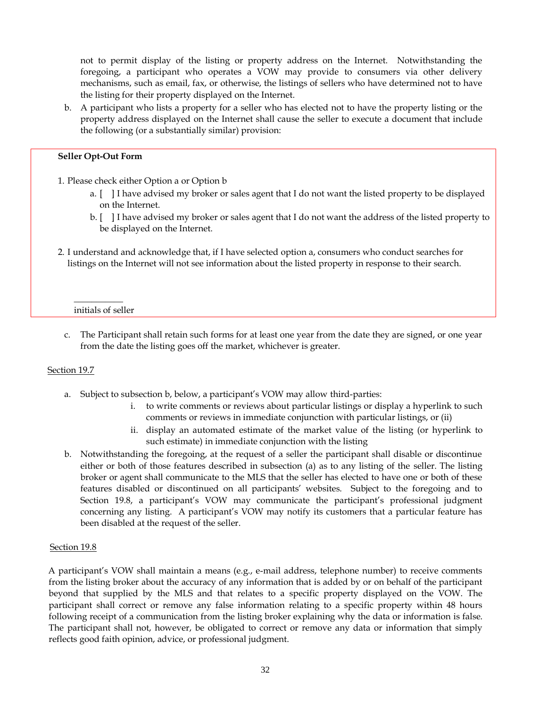not to permit display of the listing or property address on the Internet. Notwithstanding the foregoing, a participant who operates a VOW may provide to consumers via other delivery mechanisms, such as email, fax, or otherwise, the listings of sellers who have determined not to have the listing for their property displayed on the Internet.

b. A participant who lists a property for a seller who has elected not to have the property listing or the property address displayed on the Internet shall cause the seller to execute a document that include the following (or a substantially similar) provision:

## **Seller Opt-Out Form**

- 1. Please check either Option a or Option b
	- a. [ ] I have advised my broker or sales agent that I do not want the listed property to be displayed on the Internet.
	- b. [ ] I have advised my broker or sales agent that I do not want the address of the listed property to be displayed on the Internet.
- 2. I understand and acknowledge that, if I have selected option a, consumers who conduct searches for listings on the Internet will not see information about the listed property in response to their search.

#### $\overline{\phantom{a}}$ initials of seller

c. The Participant shall retain such forms for at least one year from the date they are signed, or one year from the date the listing goes off the market, whichever is greater.

## Section 19.7

- a. Subject to subsection b, below, a participant's VOW may allow third-parties:
	- i. to write comments or reviews about particular listings or display a hyperlink to such comments or reviews in immediate conjunction with particular listings, or (ii)
	- ii. display an automated estimate of the market value of the listing (or hyperlink to such estimate) in immediate conjunction with the listing
- b. Notwithstanding the foregoing, at the request of a seller the participant shall disable or discontinue either or both of those features described in subsection (a) as to any listing of the seller. The listing broker or agent shall communicate to the MLS that the seller has elected to have one or both of these features disabled or discontinued on all participants' websites. Subject to the foregoing and to Section 19.8, a participant's VOW may communicate the participant's professional judgment concerning any listing. A participant's VOW may notify its customers that a particular feature has been disabled at the request of the seller.

## Section 19.8

A participant's VOW shall maintain a means (e.g., e-mail address, telephone number) to receive comments from the listing broker about the accuracy of any information that is added by or on behalf of the participant beyond that supplied by the MLS and that relates to a specific property displayed on the VOW. The participant shall correct or remove any false information relating to a specific property within 48 hours following receipt of a communication from the listing broker explaining why the data or information is false. The participant shall not, however, be obligated to correct or remove any data or information that simply reflects good faith opinion, advice, or professional judgment.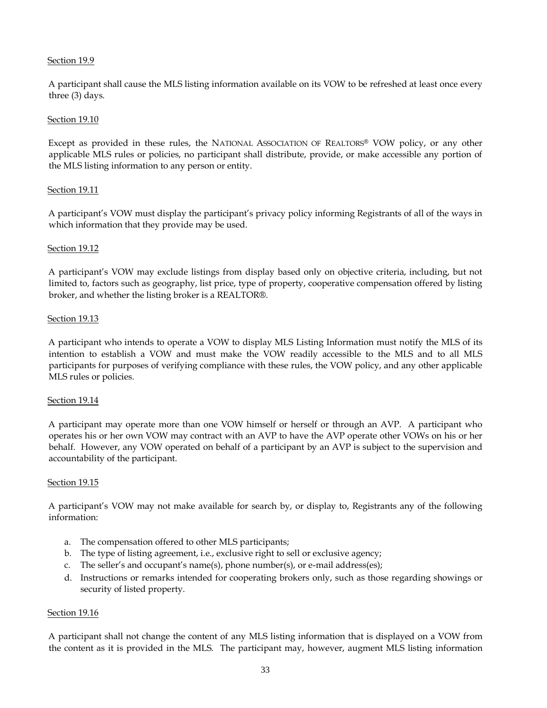## Section 19.9

A participant shall cause the MLS listing information available on its VOW to be refreshed at least once every three (3) days.

## Section 19.10

Except as provided in these rules, the NATIONAL ASSOCIATION OF REALTORS® VOW policy, or any other applicable MLS rules or policies, no participant shall distribute, provide, or make accessible any portion of the MLS listing information to any person or entity.

## Section 19.11

A participant's VOW must display the participant's privacy policy informing Registrants of all of the ways in which information that they provide may be used.

## Section 19.12

A participant's VOW may exclude listings from display based only on objective criteria, including, but not limited to, factors such as geography, list price, type of property, cooperative compensation offered by listing broker, and whether the listing broker is a REALTOR®.

## **Section 19.13**

A participant who intends to operate a VOW to display MLS Listing Information must notify the MLS of its intention to establish a VOW and must make the VOW readily accessible to the MLS and to all MLS participants for purposes of verifying compliance with these rules, the VOW policy, and any other applicable MLS rules or policies.

## Section 19.14

A participant may operate more than one VOW himself or herself or through an AVP. A participant who operates his or her own VOW may contract with an AVP to have the AVP operate other VOWs on his or her behalf. However, any VOW operated on behalf of a participant by an AVP is subject to the supervision and accountability of the participant.

## Section 19.15

A participant's VOW may not make available for search by, or display to, Registrants any of the following information:

- a. The compensation offered to other MLS participants;
- b. The type of listing agreement, i.e., exclusive right to sell or exclusive agency;
- c. The seller's and occupant's name(s), phone number(s), or e-mail address(es);
- d. Instructions or remarks intended for cooperating brokers only, such as those regarding showings or security of listed property.

## Section 19.16

A participant shall not change the content of any MLS listing information that is displayed on a VOW from the content as it is provided in the MLS. The participant may, however, augment MLS listing information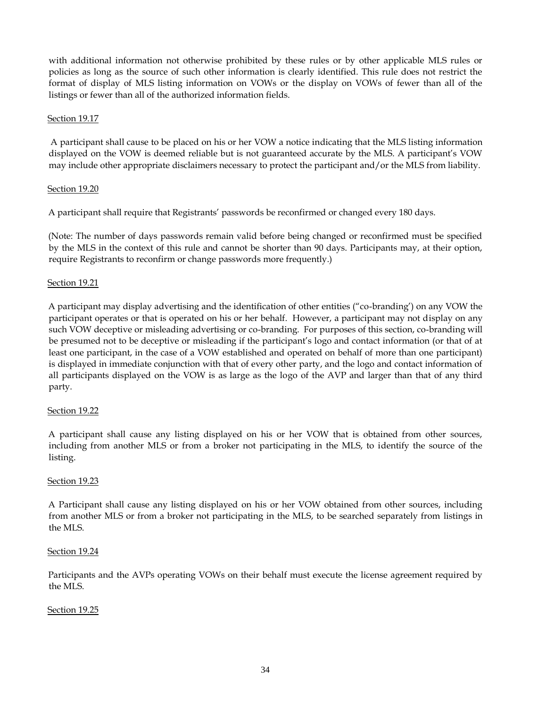with additional information not otherwise prohibited by these rules or by other applicable MLS rules or policies as long as the source of such other information is clearly identified. This rule does not restrict the format of display of MLS listing information on VOWs or the display on VOWs of fewer than all of the listings or fewer than all of the authorized information fields.

## Section 19.17

A participant shall cause to be placed on his or her VOW a notice indicating that the MLS listing information displayed on the VOW is deemed reliable but is not guaranteed accurate by the MLS. A participant's VOW may include other appropriate disclaimers necessary to protect the participant and/or the MLS from liability.

## Section 19.20

A participant shall require that Registrants' passwords be reconfirmed or changed every 180 days.

(Note: The number of days passwords remain valid before being changed or reconfirmed must be specified by the MLS in the context of this rule and cannot be shorter than 90 days. Participants may, at their option, require Registrants to reconfirm or change passwords more frequently.)

## Section 19.21

A participant may display advertising and the identification of other entities ("co-branding') on any VOW the participant operates or that is operated on his or her behalf. However, a participant may not display on any such VOW deceptive or misleading advertising or co-branding. For purposes of this section, co-branding will be presumed not to be deceptive or misleading if the participant's logo and contact information (or that of at least one participant, in the case of a VOW established and operated on behalf of more than one participant) is displayed in immediate conjunction with that of every other party, and the logo and contact information of all participants displayed on the VOW is as large as the logo of the AVP and larger than that of any third party.

## Section 19.22

A participant shall cause any listing displayed on his or her VOW that is obtained from other sources, including from another MLS or from a broker not participating in the MLS, to identify the source of the listing.

## Section 19.23

A Participant shall cause any listing displayed on his or her VOW obtained from other sources, including from another MLS or from a broker not participating in the MLS, to be searched separately from listings in the MLS.

## Section 19.24

Participants and the AVPs operating VOWs on their behalf must execute the license agreement required by the MLS.

## Section 19.25